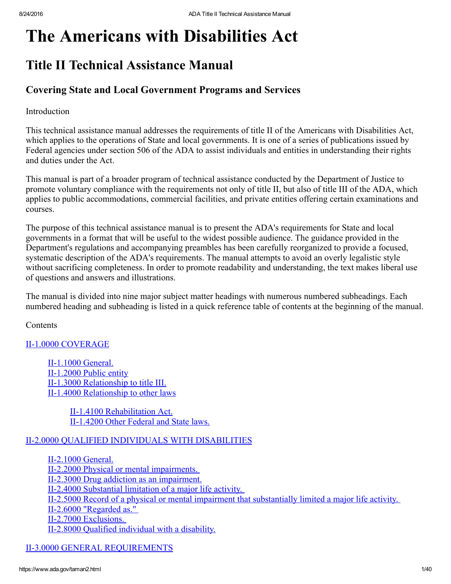# The Americans with Disabilities Act

# Title II Technical Assistance Manual

# Covering State and Local Government Programs and Services

# **Introduction**

This technical assistance manual addresses the requirements of title II of the Americans with Disabilities Act, which applies to the operations of State and local governments. It is one of a series of publications issued by Federal agencies under section 506 of the ADA to assist individuals and entities in understanding their rights and duties under the Act.

This manual is part of a broader program of technical assistance conducted by the Department of Justice to promote voluntary compliance with the requirements not only of title II, but also of title III of the ADA, which applies to public accommodations, commercial facilities, and private entities offering certain examinations and courses.

The purpose of this technical assistance manual is to present the ADA's requirements for State and local governments in a format that will be useful to the widest possible audience. The guidance provided in the Department's regulations and accompanying preambles has been carefully reorganized to provide a focused, systematic description of the ADA's requirements. The manual attempts to avoid an overly legalistic style without sacrificing completeness. In order to promote readability and understanding, the text makes liberal use of questions and answers and illustrations.

The manual is divided into nine major subject matter headings with numerous numbered subheadings. Each numbered heading and subheading is listed in a quick reference table of contents at the beginning of the manual.

**Contents** 

# II-1.0000 [COVERAGE](#page-3-0)

II-1.1000 General. II-1.2000 Public entity II-1.3000 [Relationship](#page-4-0) to title III. II-1.4000 [Relationship](#page-5-0) to other laws

> II-1.4100 [Rehabilitation](#page-5-1) Act. II-1.4200 Other Federal and State laws.

# II2.0000 QUALIFIED [INDIVIDUALS](#page-5-3) WITH DISABILITIES

II-2.1000 General. II-2.2000 Physical or mental [impairments.](#page-5-5) II-2.3000 Drug addiction as an [impairment.](#page-6-0) II-2.4000 [Substantial](#page-6-1) limitation of a major life activity. II2.5000 Record of a physical or mental impairment that [substantially](#page-7-0) limited a major life activity. II-2.6000 ["Regarded](#page-7-1) as." II-2.7000 [Exclusions.](#page-8-0) II-2.8000 Qualified [individual](#page-8-1) with a disability.

**II-3.0000 GENERAL [REQUIREMENTS](#page-9-0)**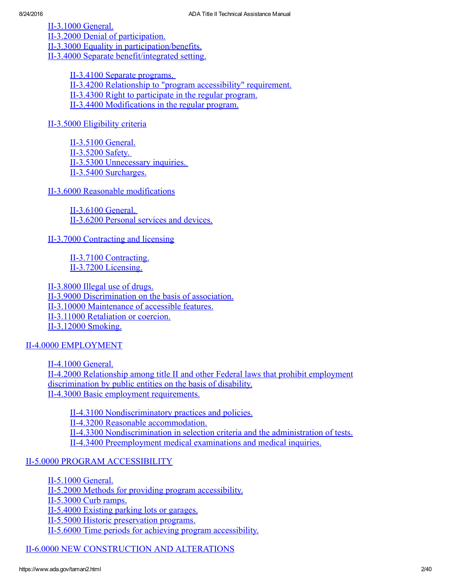II-3.1000 General.

II-3.2000 Denial of [participation.](#page-10-0)

II-3.3000 Equality in [participation/benefits.](#page-10-1)

II-3.4000 Separate [benefit/integrated](#page-10-2) setting.

II-3.4100 Separate [programs.](#page-11-0) II3.4200 Relationship to "program [accessibility"](#page-11-1) requirement. II-3.4300 Right to [participate](#page-11-2) in the regular program. II-3.4400 [Modifications](#page-12-0) in the regular program.

II-3.5000 [Eligibility](#page-12-1) criteria

II-3.5100 General.  $II-3.5200$  Safety. II-3.5300 [Unnecessary](#page-12-4) inquiries. II-3.5400 [Surcharges.](#page-13-0)

II-3.6000 Reasonable [modifications](#page-13-1)

 $II-3.6100$  General. II-3.6200 Personal services and devices.

II-3.7000 [Contracting](#page-13-4) and licensing

II-3.7100 [Contracting.](#page-13-5) II-3.7200 [Licensing.](#page-14-0)

II-3.8000 Illegal use of drugs. II-3.9000 [Discrimination](#page-15-0) on the basis of association. II-3.10000 [Maintenance](#page-15-1) of accessible features. II-3.11000 [Retaliation](#page-15-2) or coercion. [II3.12000](#page-16-0) Smoking.

II-4.0000 [EMPLOYMENT](#page-16-1)

II-4.1000 General. II4.2000 Relationship among title II and other Federal laws that prohibit employment [discrimination](#page-16-3) by public entities on the basis of disability. II-4.3000 Basic employment [requirements.](#page-16-4)

II-4.3100 [Nondiscriminatory](#page-16-5) practices and policies. II-4.3200 Reasonable [accommodation.](#page-16-6) II-4.3300 [Nondiscrimination](#page-17-0) in selection criteria and the administration of tests. II-4.3400 [Preemployment](#page-17-1) medical examinations and medical inquiries.

II-5.0000 PROGRAM [ACCESSIBILITY](#page-17-2)

II-5.1000 General.

II-5.2000 Methods for providing program [accessibility.](#page-18-0)

II-5.3000 Curb ramps.

II-5.4000 Existing parking lots or garages.

II-5.5000 Historic [preservation](#page-20-1) programs.

II-5.6000 Time periods for achieving program [accessibility.](#page-20-2)

II-6.0000 NEW [CONSTRUCTION](#page-20-3) AND ALTERATIONS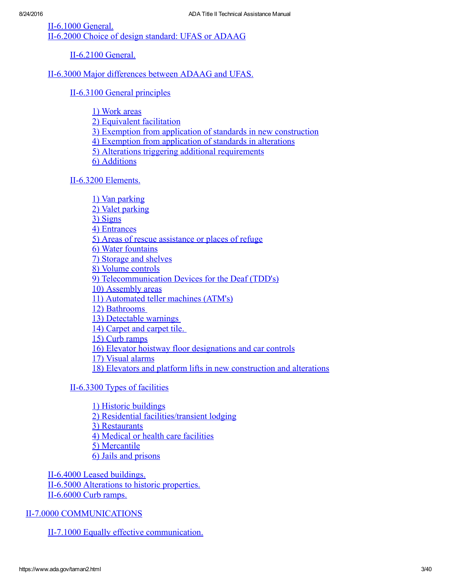$II-6.1000$  General.

II-6.2000 Choice of design standard: UFAS or ADAAG

**II-6.2100 General.** 

II-6.3000 Major [differences](#page-21-2) between ADAAG and UFAS.

II-6.3100 General [principles](#page-21-3)

1) [Work](#page-21-4) areas

2) [Equivalent](#page-21-5) facilitation

3) Exemption from application of standards in new [construction](#page-22-0)

4) Exemption from [application](#page-22-1) of standards in alterations

5) Alterations triggering additional [requirements](#page-22-2)

6) [Additions](#page-22-3)

II-6.3200 [Elements.](#page-23-0)

1) Van [parking](#page-23-1) 2) Valet [parking](#page-23-2) 3) [Signs](#page-23-3) 4) [Entrances](#page-23-4) 5) Areas of rescue [assistance](#page-24-0) or places of refuge 6) Water [fountains](#page-24-1) 7) [Storage](#page-24-2) and shelves 8) Volume [controls](#page-24-3) 9) [Telecommunication](#page-25-0) Devices for the Deaf (TDD's) 10) [Assembly](#page-25-1) areas 11) [Automated](#page-25-2) teller machines (ATM's) 12) [Bathrooms](#page-25-3) 13) [Detectable](#page-26-0) warnings 14) [Carpet](#page-26-1) and carpet tile. 15) Curb [ramps](#page-26-2) 16) Elevator hoistway floor [designations](#page-26-3) and car controls 17) Visual [alarms](#page-26-4) 18) Elevators and platform lifts in new [construction](#page-26-5) and alterations

II-6.3300 Types of facilities

1) Historic [buildings](#page-27-1) 2) Residential [facilities/transient](#page-27-2) lodging 3) [Restaurants](#page-27-3) 4) Medical or health care [facilities](#page-28-0) 5) [Mercantile](#page-28-1) 6) Jails and [prisons](#page-28-2)

II-6.4000 Leased [buildings.](#page-28-3) II-6.5000 [Alterations](#page-29-0) to historic properties. II-6.6000 Curb ramps.

II-7.0000 [COMMUNICATIONS](#page-29-2)

II-7.1000 Equally effective [communication.](#page-30-0)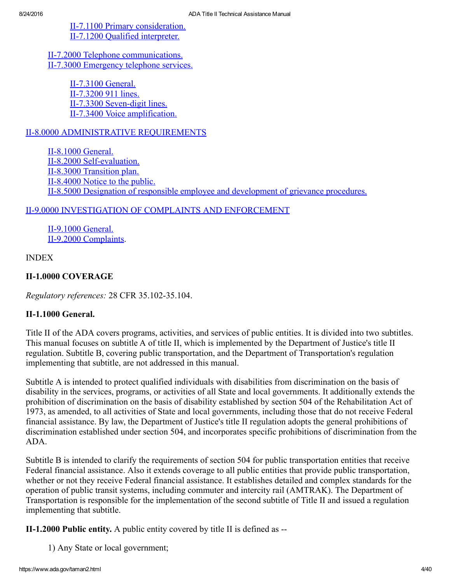II-7.1100 Primary [consideration.](#page-31-0) II-7.1200 Qualified [interpreter.](#page-31-1)

II-7.2000 Telephone [communications.](#page-32-0) II-7.3000 [Emergency](#page-32-1) telephone services.

> $II-7.3100$  General. II-7.3200 911 lines. II-7.3300 Seven-digit lines. II-7.3400 Voice [amplification.](#page-33-2)

# **II-8.0000 [ADMINISTRATIVE](#page-33-3) REQUIREMENTS**

II-8.1000 General II-8.2000 Self-evaluation. II-8.3000 [Transition](#page-36-0) plan. II-8.4000 Notice to the public. II-8.5000 Designation of responsible employee and [development](#page-37-0) of grievance procedures.

# II-9.0000 [INVESTIGATION](#page-37-1) OF COMPLAINTS AND ENFORCEMENT

II-9.1000 General. II-9.2000 [Complaints.](#page-37-3)

INDEX

# <span id="page-3-0"></span>II-1.0000 COVERAGE

Regulatory references: 28 CFR 35.102-35.104.

# <span id="page-3-1"></span>**II-1.1000 General.**

Title II of the ADA covers programs, activities, and services of public entities. It is divided into two subtitles. This manual focuses on subtitle A of title II, which is implemented by the Department of Justice's title II regulation. Subtitle B, covering public transportation, and the Department of Transportation's regulation implementing that subtitle, are not addressed in this manual.

Subtitle A is intended to protect qualified individuals with disabilities from discrimination on the basis of disability in the services, programs, or activities of all State and local governments. It additionally extends the prohibition of discrimination on the basis of disability established by section 504 of the Rehabilitation Act of 1973, as amended, to all activities of State and local governments, including those that do not receive Federal financial assistance. By law, the Department of Justice's title II regulation adopts the general prohibitions of discrimination established under section 504, and incorporates specific prohibitions of discrimination from the ADA.

Subtitle B is intended to clarify the requirements of section 504 for public transportation entities that receive Federal financial assistance. Also it extends coverage to all public entities that provide public transportation, whether or not they receive Federal financial assistance. It establishes detailed and complex standards for the operation of public transit systems, including commuter and intercity rail (AMTRAK). The Department of Transportation is responsible for the implementation of the second subtitle of Title II and issued a regulation implementing that subtitle.

<span id="page-3-2"></span> $II-1.2000$  Public entity. A public entity covered by title II is defined as  $-I$ 

1) Any State or local government;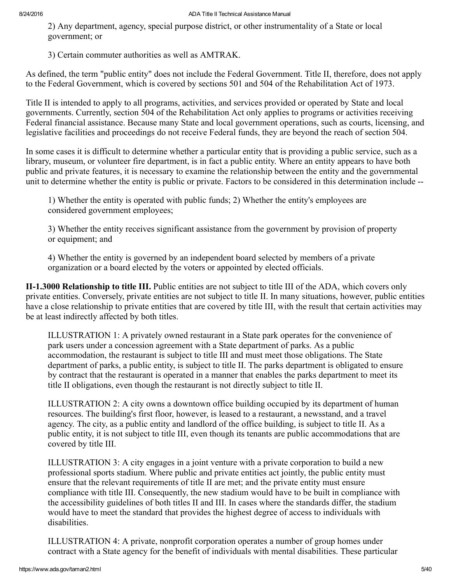2) Any department, agency, special purpose district, or other instrumentality of a State or local government; or

3) Certain commuter authorities as well as AMTRAK.

As defined, the term "public entity" does not include the Federal Government. Title II, therefore, does not apply to the Federal Government, which is covered by sections 501 and 504 of the Rehabilitation Act of 1973.

Title II is intended to apply to all programs, activities, and services provided or operated by State and local governments. Currently, section 504 of the Rehabilitation Act only applies to programs or activities receiving Federal financial assistance. Because many State and local government operations, such as courts, licensing, and legislative facilities and proceedings do not receive Federal funds, they are beyond the reach of section 504.

In some cases it is difficult to determine whether a particular entity that is providing a public service, such as a library, museum, or volunteer fire department, is in fact a public entity. Where an entity appears to have both public and private features, it is necessary to examine the relationship between the entity and the governmental unit to determine whether the entity is public or private. Factors to be considered in this determination include

1) Whether the entity is operated with public funds; 2) Whether the entity's employees are considered government employees;

3) Whether the entity receives significant assistance from the government by provision of property or equipment; and

4) Whether the entity is governed by an independent board selected by members of a private organization or a board elected by the voters or appointed by elected officials.

<span id="page-4-0"></span>II1.3000 Relationship to title III. Public entities are not subject to title III of the ADA, which covers only private entities. Conversely, private entities are not subject to title II. In many situations, however, public entities have a close relationship to private entities that are covered by title III, with the result that certain activities may be at least indirectly affected by both titles.

ILLUSTRATION 1: A privately owned restaurant in a State park operates for the convenience of park users under a concession agreement with a State department of parks. As a public accommodation, the restaurant is subject to title III and must meet those obligations. The State department of parks, a public entity, is subject to title II. The parks department is obligated to ensure by contract that the restaurant is operated in a manner that enables the parks department to meet its title II obligations, even though the restaurant is not directly subject to title II.

ILLUSTRATION 2: A city owns a downtown office building occupied by its department of human resources. The building's first floor, however, is leased to a restaurant, a newsstand, and a travel agency. The city, as a public entity and landlord of the office building, is subject to title II. As a public entity, it is not subject to title III, even though its tenants are public accommodations that are covered by title III.

ILLUSTRATION 3: A city engages in a joint venture with a private corporation to build a new professional sports stadium. Where public and private entities act jointly, the public entity must ensure that the relevant requirements of title II are met; and the private entity must ensure compliance with title III. Consequently, the new stadium would have to be built in compliance with the accessibility guidelines of both titles II and III. In cases where the standards differ, the stadium would have to meet the standard that provides the highest degree of access to individuals with disabilities.

ILLUSTRATION 4: A private, nonprofit corporation operates a number of group homes under contract with a State agency for the benefit of individuals with mental disabilities. These particular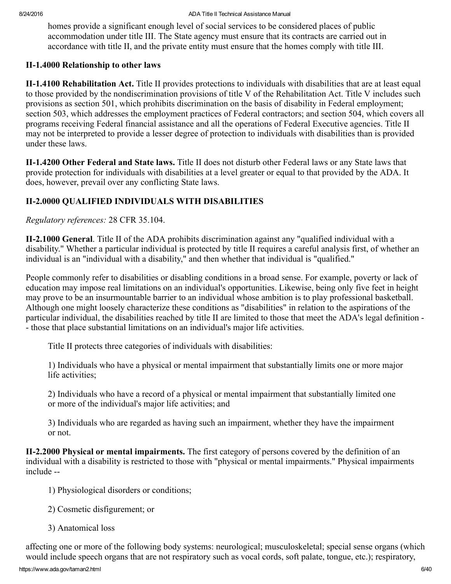homes provide a significant enough level of social services to be considered places of public accommodation under title III. The State agency must ensure that its contracts are carried out in accordance with title II, and the private entity must ensure that the homes comply with title III.

# <span id="page-5-0"></span>II-1.4000 Relationship to other laws

<span id="page-5-1"></span>**II-1.4100 Rehabilitation Act.** Title II provides protections to individuals with disabilities that are at least equal to those provided by the nondiscrimination provisions of title V of the Rehabilitation Act. Title V includes such provisions as section 501, which prohibits discrimination on the basis of disability in Federal employment; section 503, which addresses the employment practices of Federal contractors; and section 504, which covers all programs receiving Federal financial assistance and all the operations of Federal Executive agencies. Title II may not be interpreted to provide a lesser degree of protection to individuals with disabilities than is provided under these laws.

<span id="page-5-2"></span>II-1.4200 Other Federal and State laws. Title II does not disturb other Federal laws or any State laws that provide protection for individuals with disabilities at a level greater or equal to that provided by the ADA. It does, however, prevail over any conflicting State laws.

# <span id="page-5-3"></span>II2.0000 QUALIFIED INDIVIDUALS WITH DISABILITIES

Regulatory references: 28 CFR 35.104.

<span id="page-5-4"></span>II2.1000 General. Title II of the ADA prohibits discrimination against any "qualified individual with a disability." Whether a particular individual is protected by title II requires a careful analysis first, of whether an individual is an "individual with a disability," and then whether that individual is "qualified."

People commonly refer to disabilities or disabling conditions in a broad sense. For example, poverty or lack of education may impose real limitations on an individual's opportunities. Likewise, being only five feet in height may prove to be an insurmountable barrier to an individual whose ambition is to play professional basketball. Although one might loosely characterize these conditions as "disabilities" in relation to the aspirations of the particular individual, the disabilities reached by title II are limited to those that meet the ADA's legal definition those that place substantial limitations on an individual's major life activities.

Title II protects three categories of individuals with disabilities:

1) Individuals who have a physical or mental impairment that substantially limits one or more major life activities;

2) Individuals who have a record of a physical or mental impairment that substantially limited one or more of the individual's major life activities; and

3) Individuals who are regarded as having such an impairment, whether they have the impairment or not.

<span id="page-5-5"></span>II-2.2000 Physical or mental impairments. The first category of persons covered by the definition of an individual with a disability is restricted to those with "physical or mental impairments." Physical impairments include

1) Physiological disorders or conditions;

- 2) Cosmetic disfigurement; or
- 3) Anatomical loss

affecting one or more of the following body systems: neurological; musculoskeletal; special sense organs (which would include speech organs that are not respiratory such as vocal cords, soft palate, tongue, etc.); respiratory,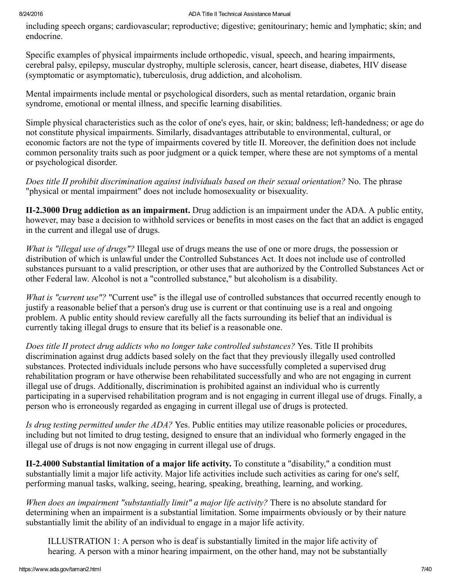including speech organs; cardiovascular; reproductive; digestive; genitourinary; hemic and lymphatic; skin; and endocrine.

Specific examples of physical impairments include orthopedic, visual, speech, and hearing impairments, cerebral palsy, epilepsy, muscular dystrophy, multiple sclerosis, cancer, heart disease, diabetes, HIV disease (symptomatic or asymptomatic), tuberculosis, drug addiction, and alcoholism.

Mental impairments include mental or psychological disorders, such as mental retardation, organic brain syndrome, emotional or mental illness, and specific learning disabilities.

Simple physical characteristics such as the color of one's eyes, hair, or skin; baldness; left-handedness; or age do not constitute physical impairments. Similarly, disadvantages attributable to environmental, cultural, or economic factors are not the type of impairments covered by title II. Moreover, the definition does not include common personality traits such as poor judgment or a quick temper, where these are not symptoms of a mental or psychological disorder.

Does title II prohibit discrimination against individuals based on their sexual orientation? No. The phrase "physical or mental impairment" does not include homosexuality or bisexuality.

<span id="page-6-0"></span>II-2.3000 Drug addiction as an impairment. Drug addiction is an impairment under the ADA. A public entity, however, may base a decision to withhold services or benefits in most cases on the fact that an addict is engaged in the current and illegal use of drugs.

What is "illegal use of drugs"? Illegal use of drugs means the use of one or more drugs, the possession or distribution of which is unlawful under the Controlled Substances Act. It does not include use of controlled substances pursuant to a valid prescription, or other uses that are authorized by the Controlled Substances Act or other Federal law. Alcohol is not a "controlled substance," but alcoholism is a disability.

What is "current use"? "Current use" is the illegal use of controlled substances that occurred recently enough to justify a reasonable belief that a person's drug use is current or that continuing use is a real and ongoing problem. A public entity should review carefully all the facts surrounding its belief that an individual is currently taking illegal drugs to ensure that its belief is a reasonable one.

Does title II protect drug addicts who no longer take controlled substances? Yes. Title II prohibits discrimination against drug addicts based solely on the fact that they previously illegally used controlled substances. Protected individuals include persons who have successfully completed a supervised drug rehabilitation program or have otherwise been rehabilitated successfully and who are not engaging in current illegal use of drugs. Additionally, discrimination is prohibited against an individual who is currently participating in a supervised rehabilitation program and is not engaging in current illegal use of drugs. Finally, a person who is erroneously regarded as engaging in current illegal use of drugs is protected.

Is drug testing permitted under the ADA? Yes. Public entities may utilize reasonable policies or procedures, including but not limited to drug testing, designed to ensure that an individual who formerly engaged in the illegal use of drugs is not now engaging in current illegal use of drugs.

<span id="page-6-1"></span>II2.4000 Substantial limitation of a major life activity. To constitute a "disability," a condition must substantially limit a major life activity. Major life activities include such activities as caring for one's self, performing manual tasks, walking, seeing, hearing, speaking, breathing, learning, and working.

When does an impairment "substantially limit" a major life activity? There is no absolute standard for determining when an impairment is a substantial limitation. Some impairments obviously or by their nature substantially limit the ability of an individual to engage in a major life activity.

ILLUSTRATION 1: A person who is deaf is substantially limited in the major life activity of hearing. A person with a minor hearing impairment, on the other hand, may not be substantially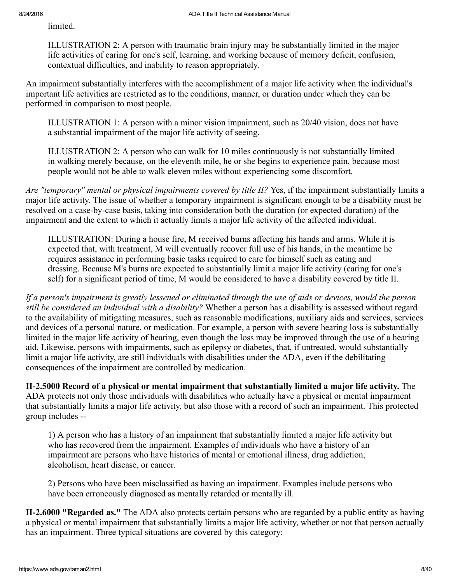limited.

ILLUSTRATION 2: A person with traumatic brain injury may be substantially limited in the major life activities of caring for one's self, learning, and working because of memory deficit, confusion, contextual difficulties, and inability to reason appropriately.

An impairment substantially interferes with the accomplishment of a major life activity when the individual's important life activities are restricted as to the conditions, manner, or duration under which they can be performed in comparison to most people.

ILLUSTRATION 1: A person with a minor vision impairment, such as 20/40 vision, does not have a substantial impairment of the major life activity of seeing.

ILLUSTRATION 2: A person who can walk for 10 miles continuously is not substantially limited in walking merely because, on the eleventh mile, he or she begins to experience pain, because most people would not be able to walk eleven miles without experiencing some discomfort.

Are "temporary" mental or physical impairments covered by title II? Yes, if the impairment substantially limits a major life activity. The issue of whether a temporary impairment is significant enough to be a disability must be resolved on a case-by-case basis, taking into consideration both the duration (or expected duration) of the impairment and the extent to which it actually limits a major life activity of the affected individual.

ILLUSTRATION: During a house fire, M received burns affecting his hands and arms. While it is expected that, with treatment, M will eventually recover full use of his hands, in the meantime he requires assistance in performing basic tasks required to care for himself such as eating and dressing. Because M's burns are expected to substantially limit a major life activity (caring for one's self) for a significant period of time, M would be considered to have a disability covered by title II.

If a person's impairment is greatly lessened or eliminated through the use of aids or devices, would the person still be considered an individual with a disability? Whether a person has a disability is assessed without regard to the availability of mitigating measures, such as reasonable modifications, auxiliary aids and services, services and devices of a personal nature, or medication. For example, a person with severe hearing loss is substantially limited in the major life activity of hearing, even though the loss may be improved through the use of a hearing aid. Likewise, persons with impairments, such as epilepsy or diabetes, that, if untreated, would substantially limit a major life activity, are still individuals with disabilities under the ADA, even if the debilitating consequences of the impairment are controlled by medication.

<span id="page-7-0"></span>II-2.5000 Record of a physical or mental impairment that substantially limited a major life activity. The ADA protects not only those individuals with disabilities who actually have a physical or mental impairment that substantially limits a major life activity, but also those with a record of such an impairment. This protected group includes

1) A person who has a history of an impairment that substantially limited a major life activity but who has recovered from the impairment. Examples of individuals who have a history of an impairment are persons who have histories of mental or emotional illness, drug addiction, alcoholism, heart disease, or cancer.

2) Persons who have been misclassified as having an impairment. Examples include persons who have been erroneously diagnosed as mentally retarded or mentally ill.

<span id="page-7-1"></span>II-2.6000 "Regarded as." The ADA also protects certain persons who are regarded by a public entity as having a physical or mental impairment that substantially limits a major life activity, whether or not that person actually has an impairment. Three typical situations are covered by this category: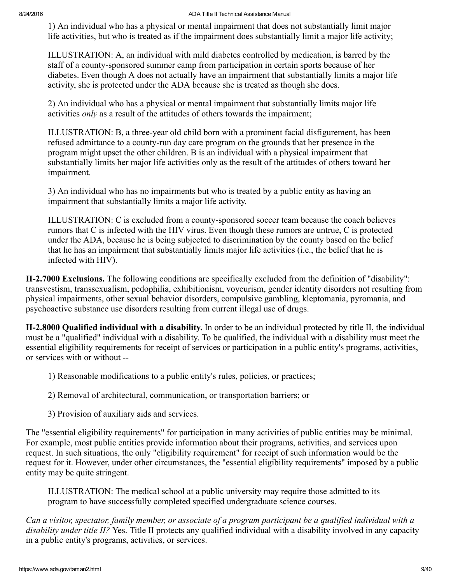1) An individual who has a physical or mental impairment that does not substantially limit major life activities, but who is treated as if the impairment does substantially limit a major life activity;

ILLUSTRATION: A, an individual with mild diabetes controlled by medication, is barred by the staff of a county-sponsored summer camp from participation in certain sports because of her diabetes. Even though A does not actually have an impairment that substantially limits a major life activity, she is protected under the ADA because she is treated as though she does.

2) An individual who has a physical or mental impairment that substantially limits major life activities *only* as a result of the attitudes of others towards the impairment;

ILLUSTRATION: B, a three-year old child born with a prominent facial disfigurement, has been refused admittance to a county-run day care program on the grounds that her presence in the program might upset the other children. B is an individual with a physical impairment that substantially limits her major life activities only as the result of the attitudes of others toward her impairment.

3) An individual who has no impairments but who is treated by a public entity as having an impairment that substantially limits a major life activity.

ILLUSTRATION: C is excluded from a countysponsored soccer team because the coach believes rumors that C is infected with the HIV virus. Even though these rumors are untrue, C is protected under the ADA, because he is being subjected to discrimination by the county based on the belief that he has an impairment that substantially limits major life activities (i.e., the belief that he is infected with HIV).

<span id="page-8-0"></span>II2.7000 Exclusions. The following conditions are specifically excluded from the definition of "disability": transvestism, transsexualism, pedophilia, exhibitionism, voyeurism, gender identity disorders not resulting from physical impairments, other sexual behavior disorders, compulsive gambling, kleptomania, pyromania, and psychoactive substance use disorders resulting from current illegal use of drugs.

<span id="page-8-1"></span>II2.8000 Qualified individual with a disability. In order to be an individual protected by title II, the individual must be a "qualified" individual with a disability. To be qualified, the individual with a disability must meet the essential eligibility requirements for receipt of services or participation in a public entity's programs, activities, or services with or without

- 1) Reasonable modifications to a public entity's rules, policies, or practices;
- 2) Removal of architectural, communication, or transportation barriers; or
- 3) Provision of auxiliary aids and services.

The "essential eligibility requirements" for participation in many activities of public entities may be minimal. For example, most public entities provide information about their programs, activities, and services upon request. In such situations, the only "eligibility requirement" for receipt of such information would be the request for it. However, under other circumstances, the "essential eligibility requirements" imposed by a public entity may be quite stringent.

ILLUSTRATION: The medical school at a public university may require those admitted to its program to have successfully completed specified undergraduate science courses.

Can a visitor, spectator, family member, or associate of a program participant be a qualified individual with a disability under title II? Yes. Title II protects any qualified individual with a disability involved in any capacity in a public entity's programs, activities, or services.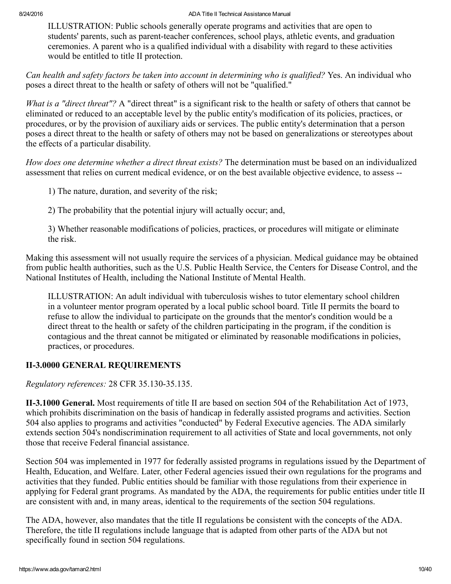ILLUSTRATION: Public schools generally operate programs and activities that are open to students' parents, such as parent-teacher conferences, school plays, athletic events, and graduation ceremonies. A parent who is a qualified individual with a disability with regard to these activities would be entitled to title II protection.

Can health and safety factors be taken into account in determining who is qualified? Yes. An individual who poses a direct threat to the health or safety of others will not be "qualified."

What is a "direct threat"? A "direct threat" is a significant risk to the health or safety of others that cannot be eliminated or reduced to an acceptable level by the public entity's modification of its policies, practices, or procedures, or by the provision of auxiliary aids or services. The public entity's determination that a person poses a direct threat to the health or safety of others may not be based on generalizations or stereotypes about the effects of a particular disability.

How does one determine whether a direct threat exists? The determination must be based on an individualized assessment that relies on current medical evidence, or on the best available objective evidence, to assess

1) The nature, duration, and severity of the risk;

2) The probability that the potential injury will actually occur; and,

3) Whether reasonable modifications of policies, practices, or procedures will mitigate or eliminate the risk.

Making this assessment will not usually require the services of a physician. Medical guidance may be obtained from public health authorities, such as the U.S. Public Health Service, the Centers for Disease Control, and the National Institutes of Health, including the National Institute of Mental Health.

ILLUSTRATION: An adult individual with tuberculosis wishes to tutor elementary school children in a volunteer mentor program operated by a local public school board. Title II permits the board to refuse to allow the individual to participate on the grounds that the mentor's condition would be a direct threat to the health or safety of the children participating in the program, if the condition is contagious and the threat cannot be mitigated or eliminated by reasonable modifications in policies, practices, or procedures.

# <span id="page-9-0"></span>**II-3.0000 GENERAL REQUIREMENTS**

Regulatory references: 28 CFR 35.130-35.135.

<span id="page-9-1"></span>II3.1000 General. Most requirements of title II are based on section 504 of the Rehabilitation Act of 1973, which prohibits discrimination on the basis of handicap in federally assisted programs and activities. Section 504 also applies to programs and activities "conducted" by Federal Executive agencies. The ADA similarly extends section 504's nondiscrimination requirement to all activities of State and local governments, not only those that receive Federal financial assistance.

Section 504 was implemented in 1977 for federally assisted programs in regulations issued by the Department of Health, Education, and Welfare. Later, other Federal agencies issued their own regulations for the programs and activities that they funded. Public entities should be familiar with those regulations from their experience in applying for Federal grant programs. As mandated by the ADA, the requirements for public entities under title II are consistent with and, in many areas, identical to the requirements of the section 504 regulations.

The ADA, however, also mandates that the title II regulations be consistent with the concepts of the ADA. Therefore, the title II regulations include language that is adapted from other parts of the ADA but not specifically found in section 504 regulations.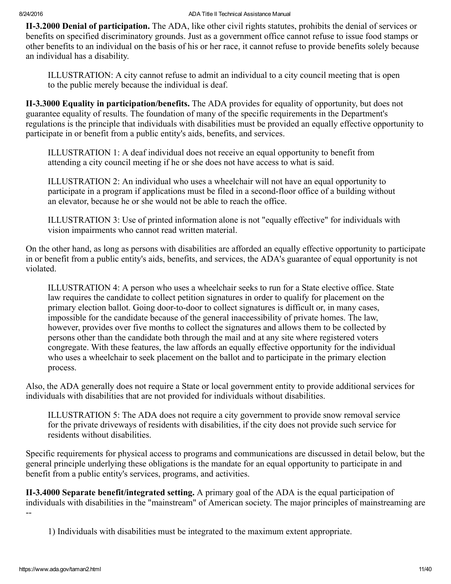<span id="page-10-0"></span>II-3.2000 Denial of participation. The ADA, like other civil rights statutes, prohibits the denial of services or benefits on specified discriminatory grounds. Just as a government office cannot refuse to issue food stamps or other benefits to an individual on the basis of his or her race, it cannot refuse to provide benefits solely because an individual has a disability.

ILLUSTRATION: A city cannot refuse to admit an individual to a city council meeting that is open to the public merely because the individual is deaf.

<span id="page-10-1"></span>II3.3000 Equality in participation/benefits. The ADA provides for equality of opportunity, but does not guarantee equality of results. The foundation of many of the specific requirements in the Department's regulations is the principle that individuals with disabilities must be provided an equally effective opportunity to participate in or benefit from a public entity's aids, benefits, and services.

ILLUSTRATION 1: A deaf individual does not receive an equal opportunity to benefit from attending a city council meeting if he or she does not have access to what is said.

ILLUSTRATION 2: An individual who uses a wheelchair will not have an equal opportunity to participate in a program if applications must be filed in a second-floor office of a building without an elevator, because he or she would not be able to reach the office.

ILLUSTRATION 3: Use of printed information alone is not "equally effective" for individuals with vision impairments who cannot read written material.

On the other hand, as long as persons with disabilities are afforded an equally effective opportunity to participate in or benefit from a public entity's aids, benefits, and services, the ADA's guarantee of equal opportunity is not violated.

ILLUSTRATION 4: A person who uses a wheelchair seeks to run for a State elective office. State law requires the candidate to collect petition signatures in order to qualify for placement on the primary election ballot. Going door-to-door to collect signatures is difficult or, in many cases, impossible for the candidate because of the general inaccessibility of private homes. The law, however, provides over five months to collect the signatures and allows them to be collected by persons other than the candidate both through the mail and at any site where registered voters congregate. With these features, the law affords an equally effective opportunity for the individual who uses a wheelchair to seek placement on the ballot and to participate in the primary election process.

Also, the ADA generally does not require a State or local government entity to provide additional services for individuals with disabilities that are not provided for individuals without disabilities.

ILLUSTRATION 5: The ADA does not require a city government to provide snow removal service for the private driveways of residents with disabilities, if the city does not provide such service for residents without disabilities.

Specific requirements for physical access to programs and communications are discussed in detail below, but the general principle underlying these obligations is the mandate for an equal opportunity to participate in and benefit from a public entity's services, programs, and activities.

<span id="page-10-2"></span>II3.4000 Separate benefit/integrated setting. A primary goal of the ADA is the equal participation of individuals with disabilities in the "mainstream" of American society. The major principles of mainstreaming are  $\overline{a}$ 

1) Individuals with disabilities must be integrated to the maximum extent appropriate.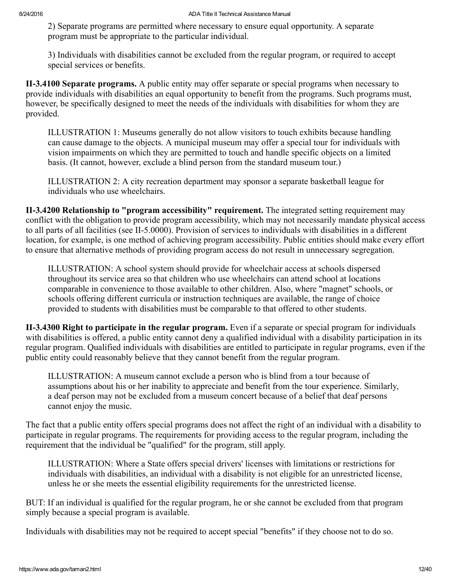2) Separate programs are permitted where necessary to ensure equal opportunity. A separate program must be appropriate to the particular individual.

3) Individuals with disabilities cannot be excluded from the regular program, or required to accept special services or benefits.

<span id="page-11-0"></span>II-3.4100 Separate programs. A public entity may offer separate or special programs when necessary to provide individuals with disabilities an equal opportunity to benefit from the programs. Such programs must, however, be specifically designed to meet the needs of the individuals with disabilities for whom they are provided.

ILLUSTRATION 1: Museums generally do not allow visitors to touch exhibits because handling can cause damage to the objects. A municipal museum may offer a special tour for individuals with vision impairments on which they are permitted to touch and handle specific objects on a limited basis. (It cannot, however, exclude a blind person from the standard museum tour.)

ILLUSTRATION 2: A city recreation department may sponsor a separate basketball league for individuals who use wheelchairs.

<span id="page-11-1"></span>II-3.4200 Relationship to "program accessibility" requirement. The integrated setting requirement may conflict with the obligation to provide program accessibility, which may not necessarily mandate physical access to all parts of all facilities (see II-5.0000). Provision of services to individuals with disabilities in a different location, for example, is one method of achieving program accessibility. Public entities should make every effort to ensure that alternative methods of providing program access do not result in unnecessary segregation.

ILLUSTRATION: A school system should provide for wheelchair access at schools dispersed throughout its service area so that children who use wheelchairs can attend school at locations comparable in convenience to those available to other children. Also, where "magnet" schools, or schools offering different curricula or instruction techniques are available, the range of choice provided to students with disabilities must be comparable to that offered to other students.

<span id="page-11-2"></span>II-3.4300 Right to participate in the regular program. Even if a separate or special program for individuals with disabilities is offered, a public entity cannot deny a qualified individual with a disability participation in its regular program. Qualified individuals with disabilities are entitled to participate in regular programs, even if the public entity could reasonably believe that they cannot benefit from the regular program.

ILLUSTRATION: A museum cannot exclude a person who is blind from a tour because of assumptions about his or her inability to appreciate and benefit from the tour experience. Similarly, a deaf person may not be excluded from a museum concert because of a belief that deaf persons cannot enjoy the music.

The fact that a public entity offers special programs does not affect the right of an individual with a disability to participate in regular programs. The requirements for providing access to the regular program, including the requirement that the individual be "qualified" for the program, still apply.

ILLUSTRATION: Where a State offers special drivers' licenses with limitations or restrictions for individuals with disabilities, an individual with a disability is not eligible for an unrestricted license, unless he or she meets the essential eligibility requirements for the unrestricted license.

BUT: If an individual is qualified for the regular program, he or she cannot be excluded from that program simply because a special program is available.

Individuals with disabilities may not be required to accept special "benefits" if they choose not to do so.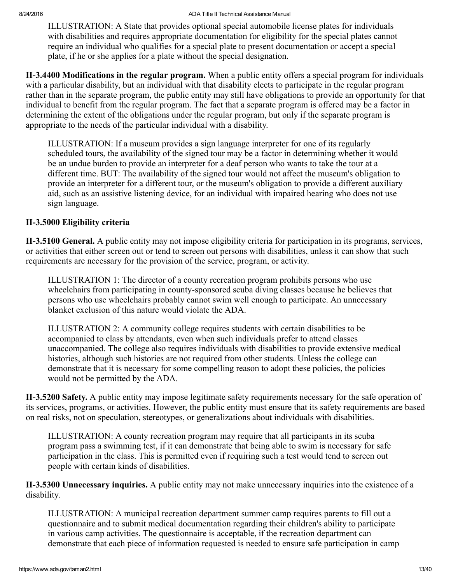ILLUSTRATION: A State that provides optional special automobile license plates for individuals with disabilities and requires appropriate documentation for eligibility for the special plates cannot require an individual who qualifies for a special plate to present documentation or accept a special plate, if he or she applies for a plate without the special designation.

<span id="page-12-0"></span>II3.4400 Modifications in the regular program. When a public entity offers a special program for individuals with a particular disability, but an individual with that disability elects to participate in the regular program rather than in the separate program, the public entity may still have obligations to provide an opportunity for that individual to benefit from the regular program. The fact that a separate program is offered may be a factor in determining the extent of the obligations under the regular program, but only if the separate program is appropriate to the needs of the particular individual with a disability.

ILLUSTRATION: If a museum provides a sign language interpreter for one of its regularly scheduled tours, the availability of the signed tour may be a factor in determining whether it would be an undue burden to provide an interpreter for a deaf person who wants to take the tour at a different time. BUT: The availability of the signed tour would not affect the museum's obligation to provide an interpreter for a different tour, or the museum's obligation to provide a different auxiliary aid, such as an assistive listening device, for an individual with impaired hearing who does not use sign language.

# <span id="page-12-1"></span>II-3.5000 Eligibility criteria

<span id="page-12-2"></span>II-3.5100 General. A public entity may not impose eligibility criteria for participation in its programs, services, or activities that either screen out or tend to screen out persons with disabilities, unless it can show that such requirements are necessary for the provision of the service, program, or activity.

ILLUSTRATION 1: The director of a county recreation program prohibits persons who use wheelchairs from participating in county-sponsored scuba diving classes because he believes that persons who use wheelchairs probably cannot swim well enough to participate. An unnecessary blanket exclusion of this nature would violate the ADA.

ILLUSTRATION 2: A community college requires students with certain disabilities to be accompanied to class by attendants, even when such individuals prefer to attend classes unaccompanied. The college also requires individuals with disabilities to provide extensive medical histories, although such histories are not required from other students. Unless the college can demonstrate that it is necessary for some compelling reason to adopt these policies, the policies would not be permitted by the ADA.

<span id="page-12-3"></span>II-3.5200 Safety. A public entity may impose legitimate safety requirements necessary for the safe operation of its services, programs, or activities. However, the public entity must ensure that its safety requirements are based on real risks, not on speculation, stereotypes, or generalizations about individuals with disabilities.

ILLUSTRATION: A county recreation program may require that all participants in its scuba program pass a swimming test, if it can demonstrate that being able to swim is necessary for safe participation in the class. This is permitted even if requiring such a test would tend to screen out people with certain kinds of disabilities.

<span id="page-12-4"></span>II-3.5300 Unnecessary inquiries. A public entity may not make unnecessary inquiries into the existence of a disability.

ILLUSTRATION: A municipal recreation department summer camp requires parents to fill out a questionnaire and to submit medical documentation regarding their children's ability to participate in various camp activities. The questionnaire is acceptable, if the recreation department can demonstrate that each piece of information requested is needed to ensure safe participation in camp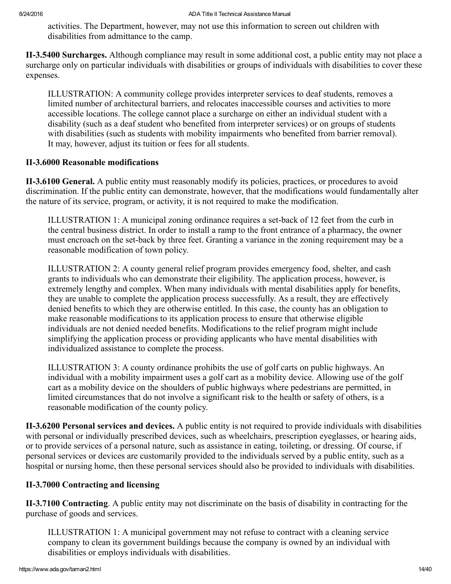activities. The Department, however, may not use this information to screen out children with disabilities from admittance to the camp.

<span id="page-13-0"></span>II-3.5400 Surcharges. Although compliance may result in some additional cost, a public entity may not place a surcharge only on particular individuals with disabilities or groups of individuals with disabilities to cover these expenses.

ILLUSTRATION: A community college provides interpreter services to deaf students, removes a limited number of architectural barriers, and relocates inaccessible courses and activities to more accessible locations. The college cannot place a surcharge on either an individual student with a disability (such as a deaf student who benefited from interpreter services) or on groups of students with disabilities (such as students with mobility impairments who benefited from barrier removal). It may, however, adjust its tuition or fees for all students.

# <span id="page-13-1"></span>II-3.6000 Reasonable modifications

<span id="page-13-2"></span>II3.6100 General. A public entity must reasonably modify its policies, practices, or procedures to avoid discrimination. If the public entity can demonstrate, however, that the modifications would fundamentally alter the nature of its service, program, or activity, it is not required to make the modification.

ILLUSTRATION 1: A municipal zoning ordinance requires a setback of 12 feet from the curb in the central business district. In order to install a ramp to the front entrance of a pharmacy, the owner must encroach on the set-back by three feet. Granting a variance in the zoning requirement may be a reasonable modification of town policy.

ILLUSTRATION 2: A county general relief program provides emergency food, shelter, and cash grants to individuals who can demonstrate their eligibility. The application process, however, is extremely lengthy and complex. When many individuals with mental disabilities apply for benefits, they are unable to complete the application process successfully. As a result, they are effectively denied benefits to which they are otherwise entitled. In this case, the county has an obligation to make reasonable modifications to its application process to ensure that otherwise eligible individuals are not denied needed benefits. Modifications to the relief program might include simplifying the application process or providing applicants who have mental disabilities with individualized assistance to complete the process.

ILLUSTRATION 3: A county ordinance prohibits the use of golf carts on public highways. An individual with a mobility impairment uses a golf cart as a mobility device. Allowing use of the golf cart as a mobility device on the shoulders of public highways where pedestrians are permitted, in limited circumstances that do not involve a significant risk to the health or safety of others, is a reasonable modification of the county policy.

<span id="page-13-3"></span>II-3.6200 Personal services and devices. A public entity is not required to provide individuals with disabilities with personal or individually prescribed devices, such as wheelchairs, prescription eyeglasses, or hearing aids, or to provide services of a personal nature, such as assistance in eating, toileting, or dressing. Of course, if personal services or devices are customarily provided to the individuals served by a public entity, such as a hospital or nursing home, then these personal services should also be provided to individuals with disabilities.

# <span id="page-13-4"></span>II-3.7000 Contracting and licensing

<span id="page-13-5"></span>II-3.7100 Contracting. A public entity may not discriminate on the basis of disability in contracting for the purchase of goods and services.

ILLUSTRATION 1: A municipal government may not refuse to contract with a cleaning service company to clean its government buildings because the company is owned by an individual with disabilities or employs individuals with disabilities.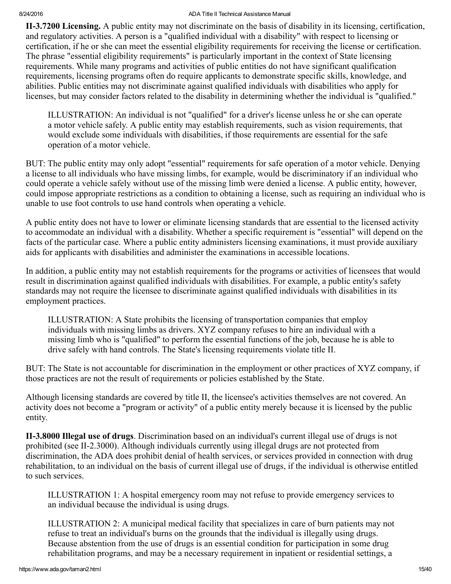<span id="page-14-0"></span>II3.7200 Licensing. A public entity may not discriminate on the basis of disability in its licensing, certification, and regulatory activities. A person is a "qualified individual with a disability" with respect to licensing or certification, if he or she can meet the essential eligibility requirements for receiving the license or certification. The phrase "essential eligibility requirements" is particularly important in the context of State licensing requirements. While many programs and activities of public entities do not have significant qualification requirements, licensing programs often do require applicants to demonstrate specific skills, knowledge, and abilities. Public entities may not discriminate against qualified individuals with disabilities who apply for licenses, but may consider factors related to the disability in determining whether the individual is "qualified."

ILLUSTRATION: An individual is not "qualified" for a driver's license unless he or she can operate a motor vehicle safely. A public entity may establish requirements, such as vision requirements, that would exclude some individuals with disabilities, if those requirements are essential for the safe operation of a motor vehicle.

BUT: The public entity may only adopt "essential" requirements for safe operation of a motor vehicle. Denying a license to all individuals who have missing limbs, for example, would be discriminatory if an individual who could operate a vehicle safely without use of the missing limb were denied a license. A public entity, however, could impose appropriate restrictions as a condition to obtaining a license, such as requiring an individual who is unable to use foot controls to use hand controls when operating a vehicle.

A public entity does not have to lower or eliminate licensing standards that are essential to the licensed activity to accommodate an individual with a disability. Whether a specific requirement is "essential" will depend on the facts of the particular case. Where a public entity administers licensing examinations, it must provide auxiliary aids for applicants with disabilities and administer the examinations in accessible locations.

In addition, a public entity may not establish requirements for the programs or activities of licensees that would result in discrimination against qualified individuals with disabilities. For example, a public entity's safety standards may not require the licensee to discriminate against qualified individuals with disabilities in its employment practices.

ILLUSTRATION: A State prohibits the licensing of transportation companies that employ individuals with missing limbs as drivers. XYZ company refuses to hire an individual with a missing limb who is "qualified" to perform the essential functions of the job, because he is able to drive safely with hand controls. The State's licensing requirements violate title II.

BUT: The State is not accountable for discrimination in the employment or other practices of XYZ company, if those practices are not the result of requirements or policies established by the State.

Although licensing standards are covered by title II, the licensee's activities themselves are not covered. An activity does not become a "program or activity" of a public entity merely because it is licensed by the public entity.

<span id="page-14-1"></span>II-3.8000 Illegal use of drugs. Discrimination based on an individual's current illegal use of drugs is not prohibited (see II-2.3000). Although individuals currently using illegal drugs are not protected from discrimination, the ADA does prohibit denial of health services, or services provided in connection with drug rehabilitation, to an individual on the basis of current illegal use of drugs, if the individual is otherwise entitled to such services.

ILLUSTRATION 1: A hospital emergency room may not refuse to provide emergency services to an individual because the individual is using drugs.

ILLUSTRATION 2: A municipal medical facility that specializes in care of burn patients may not refuse to treat an individual's burns on the grounds that the individual is illegally using drugs. Because abstention from the use of drugs is an essential condition for participation in some drug rehabilitation programs, and may be a necessary requirement in inpatient or residential settings, a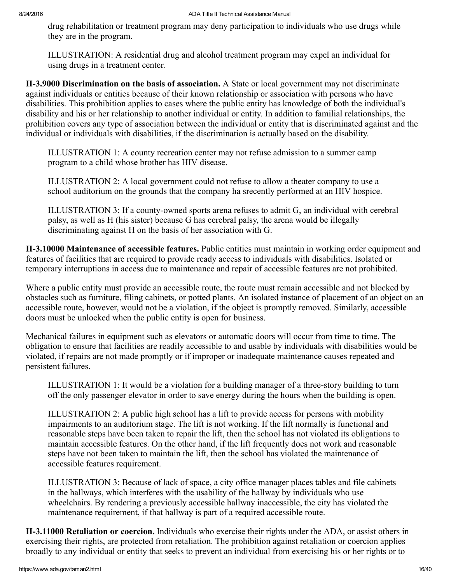drug rehabilitation or treatment program may deny participation to individuals who use drugs while they are in the program.

ILLUSTRATION: A residential drug and alcohol treatment program may expel an individual for using drugs in a treatment center.

<span id="page-15-0"></span>II-3.9000 Discrimination on the basis of association. A State or local government may not discriminate against individuals or entities because of their known relationship or association with persons who have disabilities. This prohibition applies to cases where the public entity has knowledge of both the individual's disability and his or her relationship to another individual or entity. In addition to familial relationships, the prohibition covers any type of association between the individual or entity that is discriminated against and the individual or individuals with disabilities, if the discrimination is actually based on the disability.

ILLUSTRATION 1: A county recreation center may not refuse admission to a summer camp program to a child whose brother has HIV disease.

ILLUSTRATION 2: A local government could not refuse to allow a theater company to use a school auditorium on the grounds that the company ha srecently performed at an HIV hospice.

ILLUSTRATION 3: If a county-owned sports arena refuses to admit  $G$ , an individual with cerebral palsy, as well as H (his sister) because G has cerebral palsy, the arena would be illegally discriminating against H on the basis of her association with G.

<span id="page-15-1"></span>II-3.10000 Maintenance of accessible features. Public entities must maintain in working order equipment and features of facilities that are required to provide ready access to individuals with disabilities. Isolated or temporary interruptions in access due to maintenance and repair of accessible features are not prohibited.

Where a public entity must provide an accessible route, the route must remain accessible and not blocked by obstacles such as furniture, filing cabinets, or potted plants. An isolated instance of placement of an object on an accessible route, however, would not be a violation, if the object is promptly removed. Similarly, accessible doors must be unlocked when the public entity is open for business.

Mechanical failures in equipment such as elevators or automatic doors will occur from time to time. The obligation to ensure that facilities are readily accessible to and usable by individuals with disabilities would be violated, if repairs are not made promptly or if improper or inadequate maintenance causes repeated and persistent failures.

ILLUSTRATION 1: It would be a violation for a building manager of a three-story building to turn off the only passenger elevator in order to save energy during the hours when the building is open.

ILLUSTRATION 2: A public high school has a lift to provide access for persons with mobility impairments to an auditorium stage. The lift is not working. If the lift normally is functional and reasonable steps have been taken to repair the lift, then the school has not violated its obligations to maintain accessible features. On the other hand, if the lift frequently does not work and reasonable steps have not been taken to maintain the lift, then the school has violated the maintenance of accessible features requirement.

ILLUSTRATION 3: Because of lack of space, a city office manager places tables and file cabinets in the hallways, which interferes with the usability of the hallway by individuals who use wheelchairs. By rendering a previously accessible hallway inaccessible, the city has violated the maintenance requirement, if that hallway is part of a required accessible route.

<span id="page-15-2"></span>II3.11000 Retaliation or coercion. Individuals who exercise their rights under the ADA, or assist others in exercising their rights, are protected from retaliation. The prohibition against retaliation or coercion applies broadly to any individual or entity that seeks to prevent an individual from exercising his or her rights or to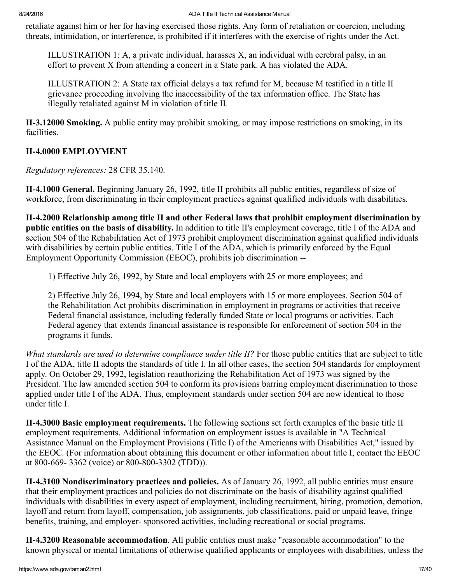retaliate against him or her for having exercised those rights. Any form of retaliation or coercion, including threats, intimidation, or interference, is prohibited if it interferes with the exercise of rights under the Act.

ILLUSTRATION 1: A, a private individual, harasses X, an individual with cerebral palsy, in an effort to prevent X from attending a concert in a State park. A has violated the ADA.

ILLUSTRATION 2: A State tax official delays a tax refund for M, because M testified in a title II grievance proceeding involving the inaccessibility of the tax information office. The State has illegally retaliated against M in violation of title II.

<span id="page-16-0"></span>II-3.12000 Smoking. A public entity may prohibit smoking, or may impose restrictions on smoking, in its facilities.

# <span id="page-16-1"></span>II-4.0000 EMPLOYMENT

Regulatory references: 28 CFR 35.140.

<span id="page-16-2"></span>II4.1000 General. Beginning January 26, 1992, title II prohibits all public entities, regardless of size of workforce, from discriminating in their employment practices against qualified individuals with disabilities.

<span id="page-16-3"></span>II4.2000 Relationship among title II and other Federal laws that prohibit employment discrimination by public entities on the basis of disability. In addition to title II's employment coverage, title I of the ADA and section 504 of the Rehabilitation Act of 1973 prohibit employment discrimination against qualified individuals with disabilities by certain public entities. Title I of the ADA, which is primarily enforced by the Equal Employment Opportunity Commission (EEOC), prohibits job discrimination

1) Effective July 26, 1992, by State and local employers with 25 or more employees; and

2) Effective July 26, 1994, by State and local employers with 15 or more employees. Section 504 of the Rehabilitation Act prohibits discrimination in employment in programs or activities that receive Federal financial assistance, including federally funded State or local programs or activities. Each Federal agency that extends financial assistance is responsible for enforcement of section 504 in the programs it funds.

What standards are used to determine compliance under title II? For those public entities that are subject to title I of the ADA, title II adopts the standards of title I. In all other cases, the section 504 standards for employment apply. On October 29, 1992, legislation reauthorizing the Rehabilitation Act of 1973 was signed by the President. The law amended section 504 to conform its provisions barring employment discrimination to those applied under title I of the ADA. Thus, employment standards under section 504 are now identical to those under title I.

<span id="page-16-4"></span>II4.3000 Basic employment requirements. The following sections set forth examples of the basic title II employment requirements. Additional information on employment issues is available in "A Technical Assistance Manual on the Employment Provisions (Title I) of the Americans with Disabilities Act," issued by the EEOC. (For information about obtaining this document or other information about title I, contact the EEOC at 800-669-3362 (voice) or 800-800-3302 (TDD)).

<span id="page-16-5"></span>II4.3100 Nondiscriminatory practices and policies. As of January 26, 1992, all public entities must ensure that their employment practices and policies do not discriminate on the basis of disability against qualified individuals with disabilities in every aspect of employment, including recruitment, hiring, promotion, demotion, layoff and return from layoff, compensation, job assignments, job classifications, paid or unpaid leave, fringe benefits, training, and employer-sponsored activities, including recreational or social programs.

<span id="page-16-6"></span>II-4.3200 Reasonable accommodation. All public entities must make "reasonable accommodation" to the known physical or mental limitations of otherwise qualified applicants or employees with disabilities, unless the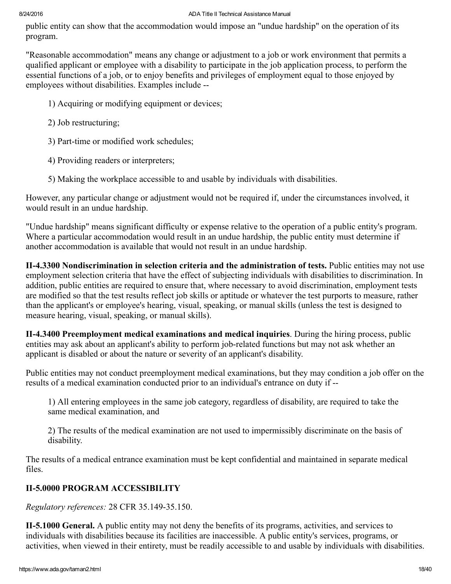public entity can show that the accommodation would impose an "undue hardship" on the operation of its program.

"Reasonable accommodation" means any change or adjustment to a job or work environment that permits a qualified applicant or employee with a disability to participate in the job application process, to perform the essential functions of a job, or to enjoy benefits and privileges of employment equal to those enjoyed by employees without disabilities. Examples include

- 1) Acquiring or modifying equipment or devices;
- 2) Job restructuring;
- 3) Part-time or modified work schedules;
- 4) Providing readers or interpreters;
- 5) Making the workplace accessible to and usable by individuals with disabilities.

However, any particular change or adjustment would not be required if, under the circumstances involved, it would result in an undue hardship.

"Undue hardship" means significant difficulty or expense relative to the operation of a public entity's program. Where a particular accommodation would result in an undue hardship, the public entity must determine if another accommodation is available that would not result in an undue hardship.

<span id="page-17-0"></span>II4.3300 Nondiscrimination in selection criteria and the administration of tests. Public entities may not use employment selection criteria that have the effect of subjecting individuals with disabilities to discrimination. In addition, public entities are required to ensure that, where necessary to avoid discrimination, employment tests are modified so that the test results reflect job skills or aptitude or whatever the test purports to measure, rather than the applicant's or employee's hearing, visual, speaking, or manual skills (unless the test is designed to measure hearing, visual, speaking, or manual skills).

<span id="page-17-1"></span>II4.3400 Preemployment medical examinations and medical inquiries. During the hiring process, public entities may ask about an applicant's ability to perform job-related functions but may not ask whether an applicant is disabled or about the nature or severity of an applicant's disability.

Public entities may not conduct preemployment medical examinations, but they may condition a job offer on the results of a medical examination conducted prior to an individual's entrance on duty if

1) All entering employees in the same job category, regardless of disability, are required to take the same medical examination, and

2) The results of the medical examination are not used to impermissibly discriminate on the basis of disability.

The results of a medical entrance examination must be kept confidential and maintained in separate medical files.

# <span id="page-17-2"></span>**II-5.0000 PROGRAM ACCESSIBILITY**

Regulatory references: 28 CFR 35.149-35.150.

<span id="page-17-3"></span>II5.1000 General. A public entity may not deny the benefits of its programs, activities, and services to individuals with disabilities because its facilities are inaccessible. A public entity's services, programs, or activities, when viewed in their entirety, must be readily accessible to and usable by individuals with disabilities.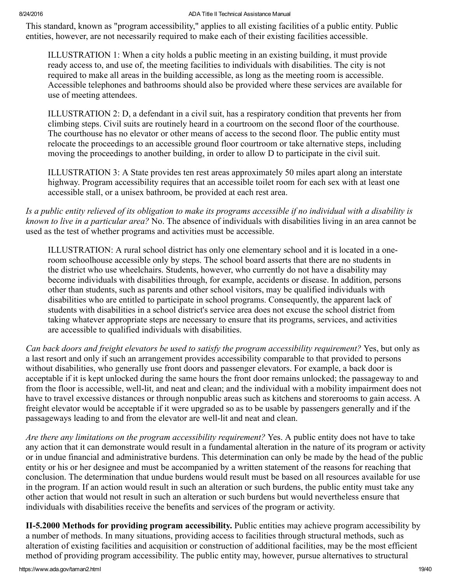This standard, known as "program accessibility," applies to all existing facilities of a public entity. Public entities, however, are not necessarily required to make each of their existing facilities accessible.

ILLUSTRATION 1: When a city holds a public meeting in an existing building, it must provide ready access to, and use of, the meeting facilities to individuals with disabilities. The city is not required to make all areas in the building accessible, as long as the meeting room is accessible. Accessible telephones and bathrooms should also be provided where these services are available for use of meeting attendees.

ILLUSTRATION 2: D, a defendant in a civil suit, has a respiratory condition that prevents her from climbing steps. Civil suits are routinely heard in a courtroom on the second floor of the courthouse. The courthouse has no elevator or other means of access to the second floor. The public entity must relocate the proceedings to an accessible ground floor courtroom or take alternative steps, including moving the proceedings to another building, in order to allow D to participate in the civil suit.

ILLUSTRATION 3: A State provides ten rest areas approximately 50 miles apart along an interstate highway. Program accessibility requires that an accessible toilet room for each sex with at least one accessible stall, or a unisex bathroom, be provided at each rest area.

Is a public entity relieved of its obligation to make its programs accessible if no individual with a disability is known to live in a particular area? No. The absence of individuals with disabilities living in an area cannot be used as the test of whether programs and activities must be accessible.

ILLUSTRATION: A rural school district has only one elementary school and it is located in a oneroom schoolhouse accessible only by steps. The school board asserts that there are no students in the district who use wheelchairs. Students, however, who currently do not have a disability may become individuals with disabilities through, for example, accidents or disease. In addition, persons other than students, such as parents and other school visitors, may be qualified individuals with disabilities who are entitled to participate in school programs. Consequently, the apparent lack of students with disabilities in a school district's service area does not excuse the school district from taking whatever appropriate steps are necessary to ensure that its programs, services, and activities are accessible to qualified individuals with disabilities.

Can back doors and freight elevators be used to satisfy the program accessibility requirement? Yes, but only as a last resort and only if such an arrangement provides accessibility comparable to that provided to persons without disabilities, who generally use front doors and passenger elevators. For example, a back door is acceptable if it is kept unlocked during the same hours the front door remains unlocked; the passageway to and from the floor is accessible, well-lit, and neat and clean; and the individual with a mobility impairment does not have to travel excessive distances or through nonpublic areas such as kitchens and storerooms to gain access. A freight elevator would be acceptable if it were upgraded so as to be usable by passengers generally and if the passageways leading to and from the elevator are well-lit and neat and clean.

Are there any limitations on the program accessibility requirement? Yes. A public entity does not have to take any action that it can demonstrate would result in a fundamental alteration in the nature of its program or activity or in undue financial and administrative burdens. This determination can only be made by the head of the public entity or his or her designee and must be accompanied by a written statement of the reasons for reaching that conclusion. The determination that undue burdens would result must be based on all resources available for use in the program. If an action would result in such an alteration or such burdens, the public entity must take any other action that would not result in such an alteration or such burdens but would nevertheless ensure that individuals with disabilities receive the benefits and services of the program or activity.

<span id="page-18-0"></span>II-5.2000 Methods for providing program accessibility. Public entities may achieve program accessibility by a number of methods. In many situations, providing access to facilities through structural methods, such as alteration of existing facilities and acquisition or construction of additional facilities, may be the most efficient method of providing program accessibility. The public entity may, however, pursue alternatives to structural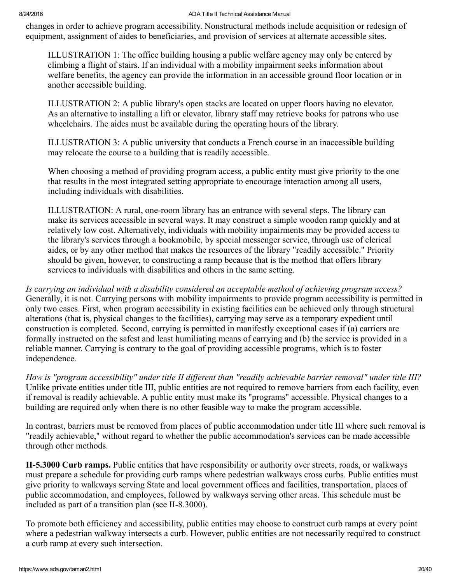changes in order to achieve program accessibility. Nonstructural methods include acquisition or redesign of equipment, assignment of aides to beneficiaries, and provision of services at alternate accessible sites.

ILLUSTRATION 1: The office building housing a public welfare agency may only be entered by climbing a flight of stairs. If an individual with a mobility impairment seeks information about welfare benefits, the agency can provide the information in an accessible ground floor location or in another accessible building.

ILLUSTRATION 2: A public library's open stacks are located on upper floors having no elevator. As an alternative to installing a lift or elevator, library staff may retrieve books for patrons who use wheelchairs. The aides must be available during the operating hours of the library.

ILLUSTRATION 3: A public university that conducts a French course in an inaccessible building may relocate the course to a building that is readily accessible.

When choosing a method of providing program access, a public entity must give priority to the one that results in the most integrated setting appropriate to encourage interaction among all users, including individuals with disabilities.

ILLUSTRATION: A rural, one-room library has an entrance with several steps. The library can make its services accessible in several ways. It may construct a simple wooden ramp quickly and at relatively low cost. Alternatively, individuals with mobility impairments may be provided access to the library's services through a bookmobile, by special messenger service, through use of clerical aides, or by any other method that makes the resources of the library "readily accessible." Priority should be given, however, to constructing a ramp because that is the method that offers library services to individuals with disabilities and others in the same setting.

Is carrying an individual with a disability considered an acceptable method of achieving program access? Generally, it is not. Carrying persons with mobility impairments to provide program accessibility is permitted in only two cases. First, when program accessibility in existing facilities can be achieved only through structural alterations (that is, physical changes to the facilities), carrying may serve as a temporary expedient until construction is completed. Second, carrying is permitted in manifestly exceptional cases if (a) carriers are formally instructed on the safest and least humiliating means of carrying and (b) the service is provided in a reliable manner. Carrying is contrary to the goal of providing accessible programs, which is to foster independence.

How is "program accessibility" under title II different than "readily achievable barrier removal" under title III? Unlike private entities under title III, public entities are not required to remove barriers from each facility, even if removal is readily achievable. A public entity must make its "programs" accessible. Physical changes to a building are required only when there is no other feasible way to make the program accessible.

In contrast, barriers must be removed from places of public accommodation under title III where such removal is "readily achievable," without regard to whether the public accommodation's services can be made accessible through other methods.

<span id="page-19-0"></span>II-5.3000 Curb ramps. Public entities that have responsibility or authority over streets, roads, or walkways must prepare a schedule for providing curb ramps where pedestrian walkways cross curbs. Public entities must give priority to walkways serving State and local government offices and facilities, transportation, places of public accommodation, and employees, followed by walkways serving other areas. This schedule must be included as part of a transition plan (see  $II-8.3000$ ).

To promote both efficiency and accessibility, public entities may choose to construct curb ramps at every point where a pedestrian walkway intersects a curb. However, public entities are not necessarily required to construct a curb ramp at every such intersection.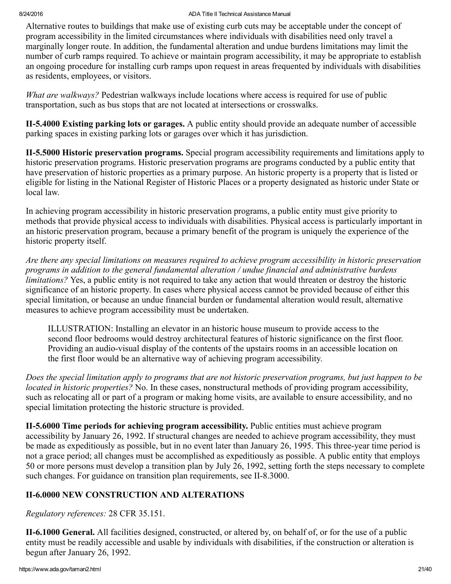Alternative routes to buildings that make use of existing curb cuts may be acceptable under the concept of program accessibility in the limited circumstances where individuals with disabilities need only travel a marginally longer route. In addition, the fundamental alteration and undue burdens limitations may limit the number of curb ramps required. To achieve or maintain program accessibility, it may be appropriate to establish an ongoing procedure for installing curb ramps upon request in areas frequented by individuals with disabilities as residents, employees, or visitors.

What are walkways? Pedestrian walkways include locations where access is required for use of public transportation, such as bus stops that are not located at intersections or crosswalks.

<span id="page-20-0"></span>II5.4000 Existing parking lots or garages. A public entity should provide an adequate number of accessible parking spaces in existing parking lots or garages over which it has jurisdiction.

<span id="page-20-1"></span>II5.5000 Historic preservation programs. Special program accessibility requirements and limitations apply to historic preservation programs. Historic preservation programs are programs conducted by a public entity that have preservation of historic properties as a primary purpose. An historic property is a property that is listed or eligible for listing in the National Register of Historic Places or a property designated as historic under State or local law.

In achieving program accessibility in historic preservation programs, a public entity must give priority to methods that provide physical access to individuals with disabilities. Physical access is particularly important in an historic preservation program, because a primary benefit of the program is uniquely the experience of the historic property itself.

Are there any special limitations on measures required to achieve program accessibility in historic preservation programs in addition to the general fundamental alteration / undue financial and administrative burdens limitations? Yes, a public entity is not required to take any action that would threaten or destroy the historic significance of an historic property. In cases where physical access cannot be provided because of either this special limitation, or because an undue financial burden or fundamental alteration would result, alternative measures to achieve program accessibility must be undertaken.

ILLUSTRATION: Installing an elevator in an historic house museum to provide access to the second floor bedrooms would destroy architectural features of historic significance on the first floor. Providing an audio-visual display of the contents of the upstairs rooms in an accessible location on the first floor would be an alternative way of achieving program accessibility.

Does the special limitation apply to programs that are not historic preservation programs, but just happen to be located in historic properties? No. In these cases, nonstructural methods of providing program accessibility, such as relocating all or part of a program or making home visits, are available to ensure accessibility, and no special limitation protecting the historic structure is provided.

<span id="page-20-2"></span>II5.6000 Time periods for achieving program accessibility. Public entities must achieve program accessibility by January 26, 1992. If structural changes are needed to achieve program accessibility, they must be made as expeditiously as possible, but in no event later than January 26, 1995. This three-year time period is not a grace period; all changes must be accomplished as expeditiously as possible. A public entity that employs 50 or more persons must develop a transition plan by July 26, 1992, setting forth the steps necessary to complete such changes. For guidance on transition plan requirements, see II-8.3000.

# <span id="page-20-3"></span>**II-6.0000 NEW CONSTRUCTION AND ALTERATIONS**

Regulatory references: 28 CFR 35.151.

<span id="page-20-4"></span>II-6.1000 General. All facilities designed, constructed, or altered by, on behalf of, or for the use of a public entity must be readily accessible and usable by individuals with disabilities, if the construction or alteration is begun after January 26, 1992.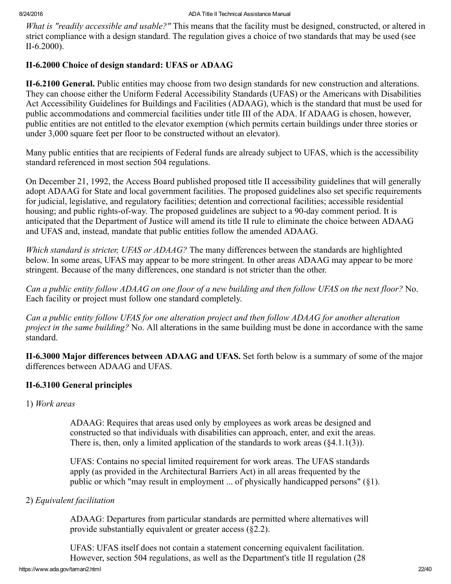What is "readily accessible and usable?" This means that the facility must be designed, constructed, or altered in strict compliance with a design standard. The regulation gives a choice of two standards that may be used (see  $II-6.2000$ ).

# <span id="page-21-0"></span>II-6.2000 Choice of design standard: UFAS or ADAAG

<span id="page-21-1"></span>II6.2100 General. Public entities may choose from two design standards for new construction and alterations. They can choose either the Uniform Federal Accessibility Standards (UFAS) or the Americans with Disabilities Act Accessibility Guidelines for Buildings and Facilities (ADAAG), which is the standard that must be used for public accommodations and commercial facilities under title III of the ADA. If ADAAG is chosen, however, public entities are not entitled to the elevator exemption (which permits certain buildings under three stories or under 3,000 square feet per floor to be constructed without an elevator).

Many public entities that are recipients of Federal funds are already subject to UFAS, which is the accessibility standard referenced in most section 504 regulations.

On December 21, 1992, the Access Board published proposed title II accessibility guidelines that will generally adopt ADAAG for State and local government facilities. The proposed guidelines also set specific requirements for judicial, legislative, and regulatory facilities; detention and correctional facilities; accessible residential housing; and public rights-of-way. The proposed guidelines are subject to a 90-day comment period. It is anticipated that the Department of Justice will amend its title II rule to eliminate the choice between ADAAG and UFAS and, instead, mandate that public entities follow the amended ADAAG.

Which standard is stricter, UFAS or ADAAG? The many differences between the standards are highlighted below. In some areas, UFAS may appear to be more stringent. In other areas ADAAG may appear to be more stringent. Because of the many differences, one standard is not stricter than the other.

Can a public entity follow ADAAG on one floor of a new building and then follow UFAS on the next floor? No. Each facility or project must follow one standard completely.

Can a public entity follow UFAS for one alteration project and then follow ADAAG for another alteration project in the same building? No. All alterations in the same building must be done in accordance with the same standard.

<span id="page-21-2"></span>II-6.3000 Major differences between ADAAG and UFAS. Set forth below is a summary of some of the major differences between ADAAG and UFAS.

# <span id="page-21-3"></span>II-6.3100 General principles

<span id="page-21-4"></span>1) Work areas

ADAAG: Requires that areas used only by employees as work areas be designed and constructed so that individuals with disabilities can approach, enter, and exit the areas. There is, then, only a limited application of the standards to work areas  $(\S 4.1.1(3))$ .

UFAS: Contains no special limited requirement for work areas. The UFAS standards apply (as provided in the Architectural Barriers Act) in all areas frequented by the public or which "may result in employment ... of physically handicapped persons" (§1).

# <span id="page-21-5"></span>2) Equivalent facilitation

ADAAG: Departures from particular standards are permitted where alternatives will provide substantially equivalent or greater access (§2.2).

UFAS: UFAS itself does not contain a statement concerning equivalent facilitation. However, section 504 regulations, as well as the Department's title II regulation (28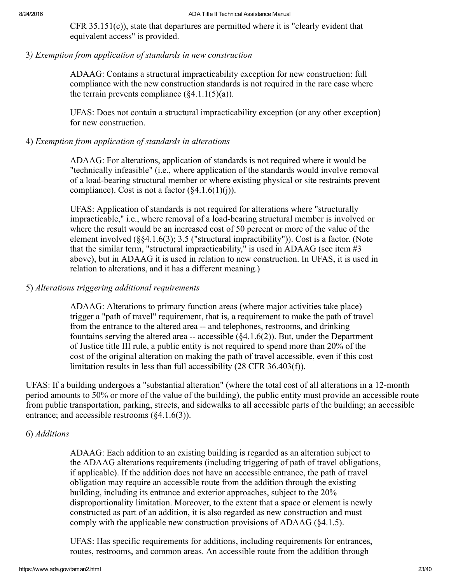CFR 35.151(c)), state that departures are permitted where it is "clearly evident that equivalent access" is provided.

### <span id="page-22-0"></span>3) Exemption from application of standards in new construction

ADAAG: Contains a structural impracticability exception for new construction: full compliance with the new construction standards is not required in the rare case where the terrain prevents compliance  $(\xi 4.1.1(5)(a))$ .

UFAS: Does not contain a structural impracticability exception (or any other exception) for new construction.

# <span id="page-22-1"></span>4) Exemption from application of standards in alterations

ADAAG: For alterations, application of standards is not required where it would be "technically infeasible" (i.e., where application of the standards would involve removal of a load-bearing structural member or where existing physical or site restraints prevent compliance). Cost is not a factor  $(\$4.1.6(1)(i))$ .

UFAS: Application of standards is not required for alterations where "structurally impracticable," i.e., where removal of a load-bearing structural member is involved or where the result would be an increased cost of 50 percent or more of the value of the element involved (§§4.1.6(3); 3.5 ("structural impractibility")). Cost is a factor. (Note that the similar term, "structural impracticability," is used in ADAAG (see item #3 above), but in ADAAG it is used in relation to new construction. In UFAS, it is used in relation to alterations, and it has a different meaning.)

### <span id="page-22-2"></span>5) Alterations triggering additional requirements

ADAAG: Alterations to primary function areas (where major activities take place) trigger a "path of travel" requirement, that is, a requirement to make the path of travel from the entrance to the altered area -- and telephones, restrooms, and drinking fountains serving the altered area  $-$  accessible ( $\&4.1.6(2)$ ). But, under the Department of Justice title III rule, a public entity is not required to spend more than 20% of the cost of the original alteration on making the path of travel accessible, even if this cost limitation results in less than full accessibility (28 CFR 36.403(f)).

UFAS: If a building undergoes a "substantial alteration" (where the total cost of all alterations in a 12-month period amounts to 50% or more of the value of the building), the public entity must provide an accessible route from public transportation, parking, streets, and sidewalks to all accessible parts of the building; an accessible entrance; and accessible restrooms (§4.1.6(3)).

# <span id="page-22-3"></span>6) Additions

ADAAG: Each addition to an existing building is regarded as an alteration subject to the ADAAG alterations requirements (including triggering of path of travel obligations, if applicable). If the addition does not have an accessible entrance, the path of travel obligation may require an accessible route from the addition through the existing building, including its entrance and exterior approaches, subject to the 20% disproportionality limitation. Moreover, to the extent that a space or element is newly constructed as part of an addition, it is also regarded as new construction and must comply with the applicable new construction provisions of ADAAG (§4.1.5).

UFAS: Has specific requirements for additions, including requirements for entrances, routes, restrooms, and common areas. An accessible route from the addition through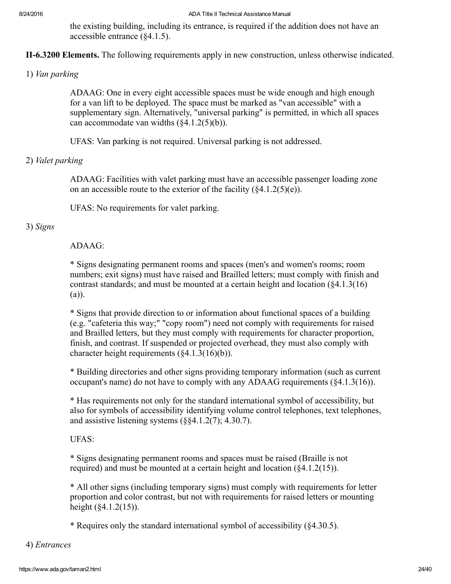the existing building, including its entrance, is required if the addition does not have an accessible entrance (§4.1.5).

<span id="page-23-0"></span>II-6.3200 Elements. The following requirements apply in new construction, unless otherwise indicated.

<span id="page-23-1"></span>1) Van parking

ADAAG: One in every eight accessible spaces must be wide enough and high enough for a van lift to be deployed. The space must be marked as "van accessible" with a supplementary sign. Alternatively, "universal parking" is permitted, in which all spaces can accommodate van widths (§4.1.2(5)(b)).

UFAS: Van parking is not required. Universal parking is not addressed.

# <span id="page-23-2"></span>2) Valet parking

ADAAG: Facilities with valet parking must have an accessible passenger loading zone on an accessible route to the exterior of the facility  $(\$4.1.2(5)(e))$ .

UFAS: No requirements for valet parking.

# <span id="page-23-3"></span>3) Signs

# $ADAAG$

\* Signs designating permanent rooms and spaces (men's and women's rooms; room numbers; exit signs) must have raised and Brailled letters; must comply with finish and contrast standards; and must be mounted at a certain height and location (§4.1.3(16) (a)).

\* Signs that provide direction to or information about functional spaces of a building (e.g. "cafeteria this way;" "copy room") need not comply with requirements for raised and Brailled letters, but they must comply with requirements for character proportion, finish, and contrast. If suspended or projected overhead, they must also comply with character height requirements (§4.1.3(16)(b)).

\* Building directories and other signs providing temporary information (such as current occupant's name) do not have to comply with any ADAAG requirements (§4.1.3(16)).

\* Has requirements not only for the standard international symbol of accessibility, but also for symbols of accessibility identifying volume control telephones, text telephones, and assistive listening systems (§§4.1.2(7); 4.30.7).

UFAS:

\* Signs designating permanent rooms and spaces must be raised (Braille is not required) and must be mounted at a certain height and location (§4.1.2(15)).

\* All other signs (including temporary signs) must comply with requirements for letter proportion and color contrast, but not with requirements for raised letters or mounting height (§4.1.2(15)).

\* Requires only the standard international symbol of accessibility (§4.30.5).

<span id="page-23-4"></span>4) Entrances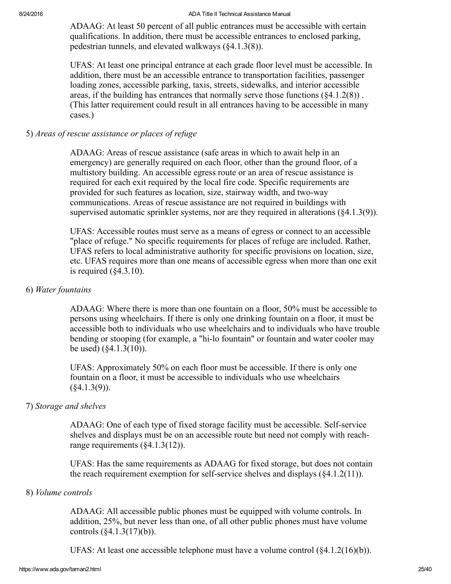ADAAG: At least 50 percent of all public entrances must be accessible with certain qualifications. In addition, there must be accessible entrances to enclosed parking, pedestrian tunnels, and elevated walkways (§4.1.3(8)).

UFAS: At least one principal entrance at each grade floor level must be accessible. In addition, there must be an accessible entrance to transportation facilities, passenger loading zones, accessible parking, taxis, streets, sidewalks, and interior accessible areas, if the building has entrances that normally serve those functions  $(84.1.2(8))$ . (This latter requirement could result in all entrances having to be accessible in many cases.)

### <span id="page-24-0"></span>5) Areas of rescue assistance or places of refuge

ADAAG: Areas of rescue assistance (safe areas in which to await help in an emergency) are generally required on each floor, other than the ground floor, of a multistory building. An accessible egress route or an area of rescue assistance is required for each exit required by the local fire code. Specific requirements are provided for such features as location, size, stairway width, and two-way communications. Areas of rescue assistance are not required in buildings with supervised automatic sprinkler systems, nor are they required in alterations (§4.1.3(9)).

UFAS: Accessible routes must serve as a means of egress or connect to an accessible "place of refuge." No specific requirements for places of refuge are included. Rather, UFAS refers to local administrative authority for specific provisions on location, size, etc. UFAS requires more than one means of accessible egress when more than one exit is required  $(\S 4.3.10)$ .

#### <span id="page-24-1"></span>6) Water fountains

ADAAG: Where there is more than one fountain on a floor, 50% must be accessible to persons using wheelchairs. If there is only one drinking fountain on a floor, it must be accessible both to individuals who use wheelchairs and to individuals who have trouble bending or stooping (for example, a "hi-lo fountain" or fountain and water cooler may be used) (§4.1.3(10)).

UFAS: Approximately 50% on each floor must be accessible. If there is only one fountain on a floor, it must be accessible to individuals who use wheelchairs  $(\$4.1.3(9)$ ).

#### <span id="page-24-2"></span>7) Storage and shelves

ADAAG: One of each type of fixed storage facility must be accessible. Self-service shelves and displays must be on an accessible route but need not comply with reachrange requirements (§4.1.3(12)).

UFAS: Has the same requirements as ADAAG for fixed storage, but does not contain the reach requirement exemption for self-service shelves and displays  $(\S 4.1.2(11))$ .

#### <span id="page-24-3"></span>8) Volume controls

ADAAG: All accessible public phones must be equipped with volume controls. In addition, 25%, but never less than one, of all other public phones must have volume controls (§4.1.3(17)(b)).

UFAS: At least one accessible telephone must have a volume control (§4.1.2(16)(b)).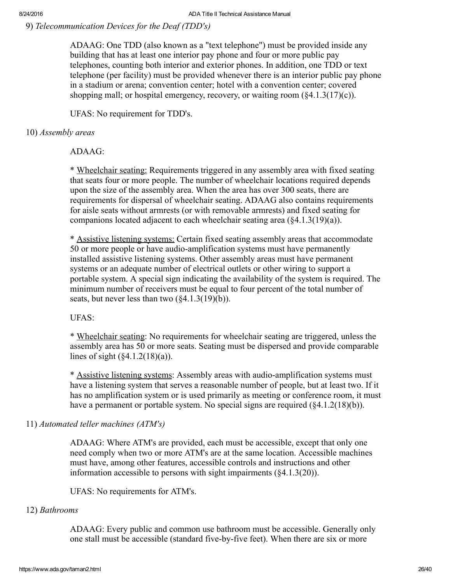<span id="page-25-0"></span>9) Telecommunication Devices for the Deaf (TDD's)

ADAAG: One TDD (also known as a "text telephone") must be provided inside any building that has at least one interior pay phone and four or more public pay telephones, counting both interior and exterior phones. In addition, one TDD or text telephone (per facility) must be provided whenever there is an interior public pay phone in a stadium or arena; convention center; hotel with a convention center; covered shopping mall; or hospital emergency, recovery, or waiting room  $(\$4.1.3(17)(c))$ .

UFAS: No requirement for TDD's.

# <span id="page-25-1"></span>10) Assembly areas

 $ADAAG$ 

\* Wheelchair seating: Requirements triggered in any assembly area with fixed seating that seats four or more people. The number of wheelchair locations required depends upon the size of the assembly area. When the area has over 300 seats, there are requirements for dispersal of wheelchair seating. ADAAG also contains requirements for aisle seats without armrests (or with removable armrests) and fixed seating for companions located adjacent to each wheelchair seating area (§4.1.3(19)(a)).

\* Assistive listening systems: Certain fixed seating assembly areas that accommodate 50 or more people or have audio-amplification systems must have permanently installed assistive listening systems. Other assembly areas must have permanent systems or an adequate number of electrical outlets or other wiring to support a portable system. A special sign indicating the availability of the system is required. The minimum number of receivers must be equal to four percent of the total number of seats, but never less than two (§4.1.3(19)(b)).

UFAS:

\* Wheelchair seating: No requirements for wheelchair seating are triggered, unless the assembly area has 50 or more seats. Seating must be dispersed and provide comparable lines of sight  $(\frac{6}{4}.1.2(18)(a))$ .

\* Assistive listening systems: Assembly areas with audio-amplification systems must have a listening system that serves a reasonable number of people, but at least two. If it has no amplification system or is used primarily as meeting or conference room, it must have a permanent or portable system. No special signs are required (§4.1.2(18)(b)).

<span id="page-25-2"></span>11) Automated teller machines (ATM's)

ADAAG: Where ATM's are provided, each must be accessible, except that only one need comply when two or more ATM's are at the same location. Accessible machines must have, among other features, accessible controls and instructions and other information accessible to persons with sight impairments (§4.1.3(20)).

UFAS: No requirements for ATM's.

# <span id="page-25-3"></span>12) Bathrooms

ADAAG: Every public and common use bathroom must be accessible. Generally only one stall must be accessible (standard five-by-five feet). When there are six or more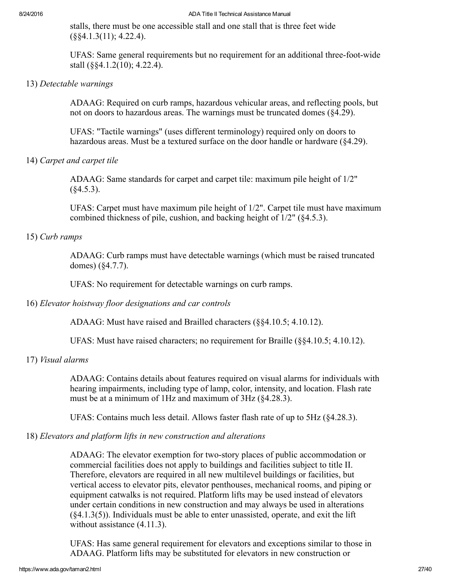stalls, there must be one accessible stall and one stall that is three feet wide (§§4.1.3(11); 4.22.4).

UFAS: Same general requirements but no requirement for an additional three-foot-wide stall (§§4.1.2(10); 4.22.4).

#### <span id="page-26-0"></span>13) Detectable warnings

ADAAG: Required on curb ramps, hazardous vehicular areas, and reflecting pools, but not on doors to hazardous areas. The warnings must be truncated domes  $(84.29)$ .

UFAS: "Tactile warnings" (uses different terminology) required only on doors to hazardous areas. Must be a textured surface on the door handle or hardware (§4.29).

<span id="page-26-1"></span>14) Carpet and carpet tile

ADAAG: Same standards for carpet and carpet tile: maximum pile height of 1/2"  $(§4.5.3).$ 

UFAS: Carpet must have maximum pile height of 1/2". Carpet tile must have maximum combined thickness of pile, cushion, and backing height of 1/2" (§4.5.3).

### <span id="page-26-2"></span>15) Curb ramps

ADAAG: Curb ramps must have detectable warnings (which must be raised truncated domes) (§4.7.7).

UFAS: No requirement for detectable warnings on curb ramps.

#### <span id="page-26-3"></span>16) Elevator hoistway floor designations and car controls

ADAAG: Must have raised and Brailled characters (§§4.10.5; 4.10.12).

UFAS: Must have raised characters; no requirement for Braille (§§4.10.5; 4.10.12).

#### <span id="page-26-4"></span>17) Visual alarms

ADAAG: Contains details about features required on visual alarms for individuals with hearing impairments, including type of lamp, color, intensity, and location. Flash rate must be at a minimum of 1Hz and maximum of 3Hz (§4.28.3).

UFAS: Contains much less detail. Allows faster flash rate of up to 5Hz (§4.28.3).

#### <span id="page-26-5"></span>18) Elevators and platform lifts in new construction and alterations

ADAAG: The elevator exemption for two-story places of public accommodation or commercial facilities does not apply to buildings and facilities subject to title II. Therefore, elevators are required in all new multilevel buildings or facilities, but vertical access to elevator pits, elevator penthouses, mechanical rooms, and piping or equipment catwalks is not required. Platform lifts may be used instead of elevators under certain conditions in new construction and may always be used in alterations (§4.1.3(5)). Individuals must be able to enter unassisted, operate, and exit the lift without assistance  $(4.11.3)$ .

UFAS: Has same general requirement for elevators and exceptions similar to those in ADAAG. Platform lifts may be substituted for elevators in new construction or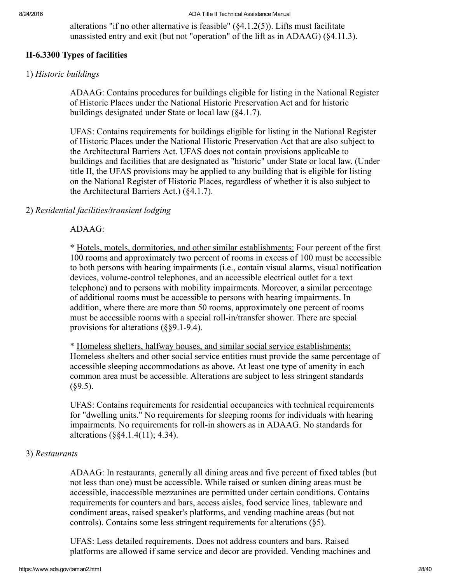alterations "if no other alternative is feasible" (§4.1.2(5)). Lifts must facilitate unassisted entry and exit (but not "operation" of the lift as in ADAAG) (§4.11.3).

# <span id="page-27-0"></span>II-6.3300 Types of facilities

#### <span id="page-27-1"></span>1) Historic buildings

ADAAG: Contains procedures for buildings eligible for listing in the National Register of Historic Places under the National Historic Preservation Act and for historic buildings designated under State or local law (§4.1.7).

UFAS: Contains requirements for buildings eligible for listing in the National Register of Historic Places under the National Historic Preservation Act that are also subject to the Architectural Barriers Act. UFAS does not contain provisions applicable to buildings and facilities that are designated as "historic" under State or local law. (Under title II, the UFAS provisions may be applied to any building that is eligible for listing on the National Register of Historic Places, regardless of whether it is also subject to the Architectural Barriers Act.) (§4.1.7).

#### <span id="page-27-2"></span>2) Residential facilities/transient lodging

### ADAAG:

\* Hotels, motels, dormitories, and other similar establishments: Four percent of the first 100 rooms and approximately two percent of rooms in excess of 100 must be accessible to both persons with hearing impairments (i.e., contain visual alarms, visual notification devices, volume-control telephones, and an accessible electrical outlet for a text telephone) and to persons with mobility impairments. Moreover, a similar percentage of additional rooms must be accessible to persons with hearing impairments. In addition, where there are more than 50 rooms, approximately one percent of rooms must be accessible rooms with a special roll-in/transfer shower. There are special provisions for alterations  $(\text{\$}\$9.1-9.4)$ .

\* Homeless shelters, halfway houses, and similar social service establishments: Homeless shelters and other social service entities must provide the same percentage of accessible sleeping accommodations as above. At least one type of amenity in each common area must be accessible. Alterations are subject to less stringent standards  $(\$9.5)$ .

UFAS: Contains requirements for residential occupancies with technical requirements for "dwelling units." No requirements for sleeping rooms for individuals with hearing impairments. No requirements for roll-in showers as in ADAAG. No standards for alterations (§§4.1.4(11); 4.34).

#### <span id="page-27-3"></span>3) Restaurants

ADAAG: In restaurants, generally all dining areas and five percent of fixed tables (but not less than one) must be accessible. While raised or sunken dining areas must be accessible, inaccessible mezzanines are permitted under certain conditions. Contains requirements for counters and bars, access aisles, food service lines, tableware and condiment areas, raised speaker's platforms, and vending machine areas (but not controls). Contains some less stringent requirements for alterations (§5).

UFAS: Less detailed requirements. Does not address counters and bars. Raised platforms are allowed if same service and decor are provided. Vending machines and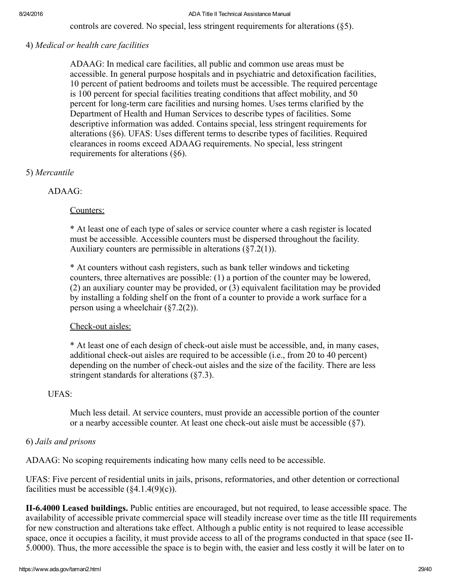controls are covered. No special, less stringent requirements for alterations (§5).

### <span id="page-28-0"></span>4) Medical or health care facilities

ADAAG: In medical care facilities, all public and common use areas must be accessible. In general purpose hospitals and in psychiatric and detoxification facilities, 10 percent of patient bedrooms and toilets must be accessible. The required percentage is 100 percent for special facilities treating conditions that affect mobility, and 50 percent for long-term care facilities and nursing homes. Uses terms clarified by the Department of Health and Human Services to describe types of facilities. Some descriptive information was added. Contains special, less stringent requirements for alterations (§6). UFAS: Uses different terms to describe types of facilities. Required clearances in rooms exceed ADAAG requirements. No special, less stringent requirements for alterations (§6).

# <span id="page-28-1"></span>5) Mercantile

# ADAAG:

# Counters:

\* At least one of each type of sales or service counter where a cash register is located must be accessible. Accessible counters must be dispersed throughout the facility. Auxiliary counters are permissible in alterations (§7.2(1)).

\* At counters without cash registers, such as bank teller windows and ticketing counters, three alternatives are possible: (1) a portion of the counter may be lowered, (2) an auxiliary counter may be provided, or (3) equivalent facilitation may be provided by installing a folding shelf on the front of a counter to provide a work surface for a person using a wheelchair (§7.2(2)).

# Check-out aisles:

\* At least one of each design of check-out aisle must be accessible, and, in many cases, additional check-out aisles are required to be accessible (i.e., from 20 to 40 percent) depending on the number of check-out aisles and the size of the facility. There are less stringent standards for alterations (§7.3).

# UFAS:

Much less detail. At service counters, must provide an accessible portion of the counter or a nearby accessible counter. At least one check-out aisle must be accessible  $(\frac{8}{7})$ .

# <span id="page-28-2"></span>6) Jails and prisons

ADAAG: No scoping requirements indicating how many cells need to be accessible.

UFAS: Five percent of residential units in jails, prisons, reformatories, and other detention or correctional facilities must be accessible  $(\text{$4.1.4(9)(c)$}).$ 

<span id="page-28-3"></span>II6.4000 Leased buildings. Public entities are encouraged, but not required, to lease accessible space. The availability of accessible private commercial space will steadily increase over time as the title III requirements for new construction and alterations take effect. Although a public entity is not required to lease accessible space, once it occupies a facility, it must provide access to all of the programs conducted in that space (see II-5.0000). Thus, the more accessible the space is to begin with, the easier and less costly it will be later on to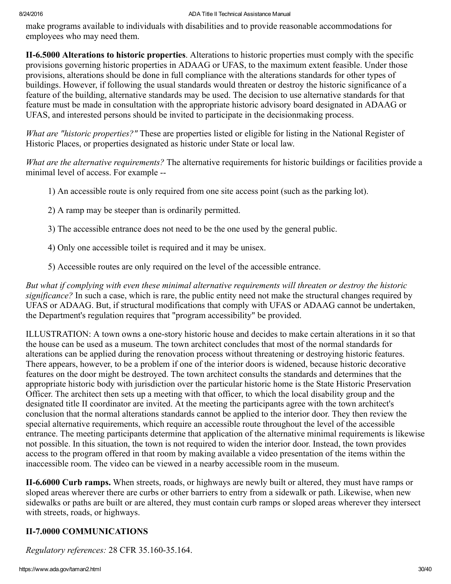make programs available to individuals with disabilities and to provide reasonable accommodations for employees who may need them.

<span id="page-29-0"></span>II6.5000 Alterations to historic properties. Alterations to historic properties must comply with the specific provisions governing historic properties in ADAAG or UFAS, to the maximum extent feasible. Under those provisions, alterations should be done in full compliance with the alterations standards for other types of buildings. However, if following the usual standards would threaten or destroy the historic significance of a feature of the building, alternative standards may be used. The decision to use alternative standards for that feature must be made in consultation with the appropriate historic advisory board designated in ADAAG or UFAS, and interested persons should be invited to participate in the decisionmaking process.

What are "historic properties?" These are properties listed or eligible for listing in the National Register of Historic Places, or properties designated as historic under State or local law.

What are the alternative requirements? The alternative requirements for historic buildings or facilities provide a minimal level of access. For example --

- 1) An accessible route is only required from one site access point (such as the parking lot).
- 2) A ramp may be steeper than is ordinarily permitted.
- 3) The accessible entrance does not need to be the one used by the general public.
- 4) Only one accessible toilet is required and it may be unisex.
- 5) Accessible routes are only required on the level of the accessible entrance.

But what if complying with even these minimal alternative requirements will threaten or destroy the historic significance? In such a case, which is rare, the public entity need not make the structural changes required by UFAS or ADAAG. But, if structural modifications that comply with UFAS or ADAAG cannot be undertaken, the Department's regulation requires that "program accessibility" be provided.

ILLUSTRATION: A town owns a onestory historic house and decides to make certain alterations in it so that the house can be used as a museum. The town architect concludes that most of the normal standards for alterations can be applied during the renovation process without threatening or destroying historic features. There appears, however, to be a problem if one of the interior doors is widened, because historic decorative features on the door might be destroyed. The town architect consults the standards and determines that the appropriate historic body with jurisdiction over the particular historic home is the State Historic Preservation Officer. The architect then sets up a meeting with that officer, to which the local disability group and the designated title II coordinator are invited. At the meeting the participants agree with the town architect's conclusion that the normal alterations standards cannot be applied to the interior door. They then review the special alternative requirements, which require an accessible route throughout the level of the accessible entrance. The meeting participants determine that application of the alternative minimal requirements is likewise not possible. In this situation, the town is not required to widen the interior door. Instead, the town provides access to the program offered in that room by making available a video presentation of the items within the inaccessible room. The video can be viewed in a nearby accessible room in the museum.

<span id="page-29-1"></span>II-6.6000 Curb ramps. When streets, roads, or highways are newly built or altered, they must have ramps or sloped areas wherever there are curbs or other barriers to entry from a sidewalk or path. Likewise, when new sidewalks or paths are built or are altered, they must contain curb ramps or sloped areas wherever they intersect with streets, roads, or highways.

# <span id="page-29-2"></span>II-7.0000 COMMUNICATIONS

Regulatory references: 28 CFR 35.160-35.164.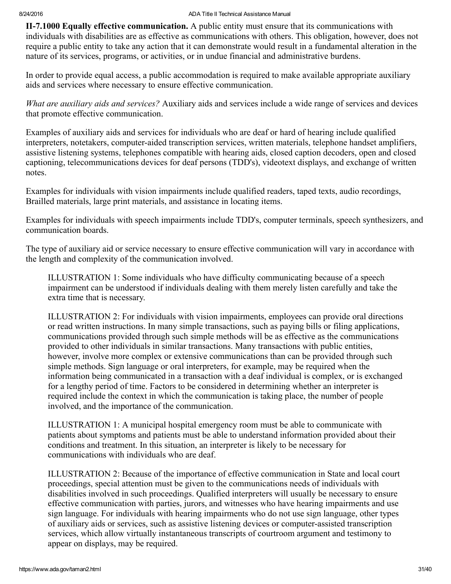<span id="page-30-0"></span>II-7.1000 Equally effective communication. A public entity must ensure that its communications with individuals with disabilities are as effective as communications with others. This obligation, however, does not require a public entity to take any action that it can demonstrate would result in a fundamental alteration in the nature of its services, programs, or activities, or in undue financial and administrative burdens.

In order to provide equal access, a public accommodation is required to make available appropriate auxiliary aids and services where necessary to ensure effective communication.

What are auxiliary aids and services? Auxiliary aids and services include a wide range of services and devices that promote effective communication.

Examples of auxiliary aids and services for individuals who are deaf or hard of hearing include qualified interpreters, notetakers, computer-aided transcription services, written materials, telephone handset amplifiers, assistive listening systems, telephones compatible with hearing aids, closed caption decoders, open and closed captioning, telecommunications devices for deaf persons (TDD's), videotext displays, and exchange of written notes.

Examples for individuals with vision impairments include qualified readers, taped texts, audio recordings, Brailled materials, large print materials, and assistance in locating items.

Examples for individuals with speech impairments include TDD's, computer terminals, speech synthesizers, and communication boards.

The type of auxiliary aid or service necessary to ensure effective communication will vary in accordance with the length and complexity of the communication involved.

ILLUSTRATION 1: Some individuals who have difficulty communicating because of a speech impairment can be understood if individuals dealing with them merely listen carefully and take the extra time that is necessary.

ILLUSTRATION 2: For individuals with vision impairments, employees can provide oral directions or read written instructions. In many simple transactions, such as paying bills or filing applications, communications provided through such simple methods will be as effective as the communications provided to other individuals in similar transactions. Many transactions with public entities, however, involve more complex or extensive communications than can be provided through such simple methods. Sign language or oral interpreters, for example, may be required when the information being communicated in a transaction with a deaf individual is complex, or is exchanged for a lengthy period of time. Factors to be considered in determining whether an interpreter is required include the context in which the communication is taking place, the number of people involved, and the importance of the communication.

ILLUSTRATION 1: A municipal hospital emergency room must be able to communicate with patients about symptoms and patients must be able to understand information provided about their conditions and treatment. In this situation, an interpreter is likely to be necessary for communications with individuals who are deaf.

ILLUSTRATION 2: Because of the importance of effective communication in State and local court proceedings, special attention must be given to the communications needs of individuals with disabilities involved in such proceedings. Qualified interpreters will usually be necessary to ensure effective communication with parties, jurors, and witnesses who have hearing impairments and use sign language. For individuals with hearing impairments who do not use sign language, other types of auxiliary aids or services, such as assistive listening devices or computer-assisted transcription services, which allow virtually instantaneous transcripts of courtroom argument and testimony to appear on displays, may be required.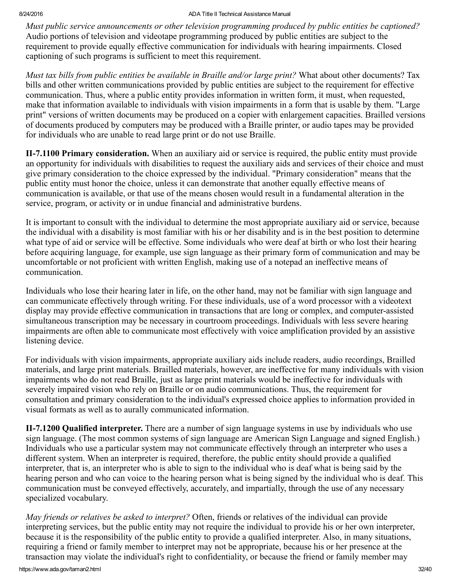Must public service announcements or other television programming produced by public entities be captioned? Audio portions of television and videotape programming produced by public entities are subject to the requirement to provide equally effective communication for individuals with hearing impairments. Closed captioning of such programs is sufficient to meet this requirement.

Must tax bills from public entities be available in Braille and/or large print? What about other documents? Tax bills and other written communications provided by public entities are subject to the requirement for effective communication. Thus, where a public entity provides information in written form, it must, when requested, make that information available to individuals with vision impairments in a form that is usable by them. "Large print" versions of written documents may be produced on a copier with enlargement capacities. Brailled versions of documents produced by computers may be produced with a Braille printer, or audio tapes may be provided for individuals who are unable to read large print or do not use Braille.

<span id="page-31-0"></span>II-7.1100 Primary consideration. When an auxiliary aid or service is required, the public entity must provide an opportunity for individuals with disabilities to request the auxiliary aids and services of their choice and must give primary consideration to the choice expressed by the individual. "Primary consideration" means that the public entity must honor the choice, unless it can demonstrate that another equally effective means of communication is available, or that use of the means chosen would result in a fundamental alteration in the service, program, or activity or in undue financial and administrative burdens.

It is important to consult with the individual to determine the most appropriate auxiliary aid or service, because the individual with a disability is most familiar with his or her disability and is in the best position to determine what type of aid or service will be effective. Some individuals who were deaf at birth or who lost their hearing before acquiring language, for example, use sign language as their primary form of communication and may be uncomfortable or not proficient with written English, making use of a notepad an ineffective means of communication.

Individuals who lose their hearing later in life, on the other hand, may not be familiar with sign language and can communicate effectively through writing. For these individuals, use of a word processor with a videotext display may provide effective communication in transactions that are long or complex, and computer-assisted simultaneous transcription may be necessary in courtroom proceedings. Individuals with less severe hearing impairments are often able to communicate most effectively with voice amplification provided by an assistive listening device.

For individuals with vision impairments, appropriate auxiliary aids include readers, audio recordings, Brailled materials, and large print materials. Brailled materials, however, are ineffective for many individuals with vision impairments who do not read Braille, just as large print materials would be ineffective for individuals with severely impaired vision who rely on Braille or on audio communications. Thus, the requirement for consultation and primary consideration to the individual's expressed choice applies to information provided in visual formats as well as to aurally communicated information.

<span id="page-31-1"></span>II-7.1200 Qualified interpreter. There are a number of sign language systems in use by individuals who use sign language. (The most common systems of sign language are American Sign Language and signed English.) Individuals who use a particular system may not communicate effectively through an interpreter who uses a different system. When an interpreter is required, therefore, the public entity should provide a qualified interpreter, that is, an interpreter who is able to sign to the individual who is deaf what is being said by the hearing person and who can voice to the hearing person what is being signed by the individual who is deaf. This communication must be conveyed effectively, accurately, and impartially, through the use of any necessary specialized vocabulary.

May friends or relatives be asked to interpret? Often, friends or relatives of the individual can provide interpreting services, but the public entity may not require the individual to provide his or her own interpreter, because it is the responsibility of the public entity to provide a qualified interpreter. Also, in many situations, requiring a friend or family member to interpret may not be appropriate, because his or her presence at the transaction may violate the individual's right to confidentiality, or because the friend or family member may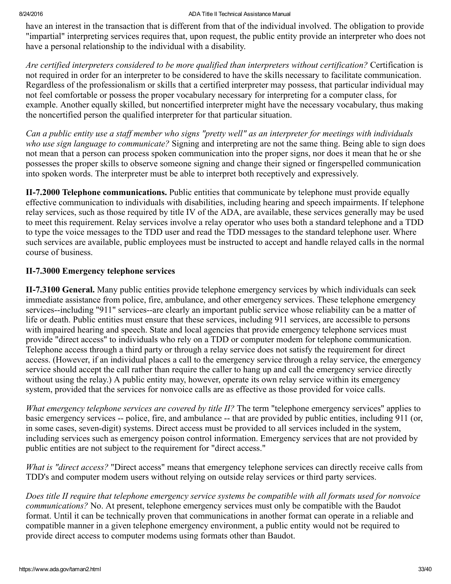have an interest in the transaction that is different from that of the individual involved. The obligation to provide "impartial" interpreting services requires that, upon request, the public entity provide an interpreter who does not have a personal relationship to the individual with a disability.

Are certified interpreters considered to be more qualified than interpreters without certification? Certification is not required in order for an interpreter to be considered to have the skills necessary to facilitate communication. Regardless of the professionalism or skills that a certified interpreter may possess, that particular individual may not feel comfortable or possess the proper vocabulary necessary for interpreting for a computer class, for example. Another equally skilled, but noncertified interpreter might have the necessary vocabulary, thus making the noncertified person the qualified interpreter for that particular situation.

Can a public entity use a staff member who signs "pretty well" as an interpreter for meetings with individuals who use sign language to communicate? Signing and interpreting are not the same thing. Being able to sign does not mean that a person can process spoken communication into the proper signs, nor does it mean that he or she possesses the proper skills to observe someone signing and change their signed or fingerspelled communication into spoken words. The interpreter must be able to interpret both receptively and expressively.

<span id="page-32-0"></span>II-7.2000 Telephone communications. Public entities that communicate by telephone must provide equally effective communication to individuals with disabilities, including hearing and speech impairments. If telephone relay services, such as those required by title IV of the ADA, are available, these services generally may be used to meet this requirement. Relay services involve a relay operator who uses both a standard telephone and a TDD to type the voice messages to the TDD user and read the TDD messages to the standard telephone user. Where such services are available, public employees must be instructed to accept and handle relayed calls in the normal course of business.

# <span id="page-32-1"></span>II-7.3000 Emergency telephone services

<span id="page-32-2"></span>II-7.3100 General. Many public entities provide telephone emergency services by which individuals can seek immediate assistance from police, fire, ambulance, and other emergency services. These telephone emergency services--including "911" services--are clearly an important public service whose reliability can be a matter of life or death. Public entities must ensure that these services, including 911 services, are accessible to persons with impaired hearing and speech. State and local agencies that provide emergency telephone services must provide "direct access" to individuals who rely on a TDD or computer modem for telephone communication. Telephone access through a third party or through a relay service does not satisfy the requirement for direct access. (However, if an individual places a call to the emergency service through a relay service, the emergency service should accept the call rather than require the caller to hang up and call the emergency service directly without using the relay.) A public entity may, however, operate its own relay service within its emergency system, provided that the services for nonvoice calls are as effective as those provided for voice calls.

What emergency telephone services are covered by title II? The term "telephone emergency services" applies to basic emergency services -- police, fire, and ambulance -- that are provided by public entities, including 911 (or, in some cases, seven-digit) systems. Direct access must be provided to all services included in the system, including services such as emergency poison control information. Emergency services that are not provided by public entities are not subject to the requirement for "direct access."

What is "direct access? "Direct access" means that emergency telephone services can directly receive calls from TDD's and computer modem users without relying on outside relay services or third party services.

Does title II require that telephone emergency service systems be compatible with all formats used for nonvoice communications? No. At present, telephone emergency services must only be compatible with the Baudot format. Until it can be technically proven that communications in another format can operate in a reliable and compatible manner in a given telephone emergency environment, a public entity would not be required to provide direct access to computer modems using formats other than Baudot.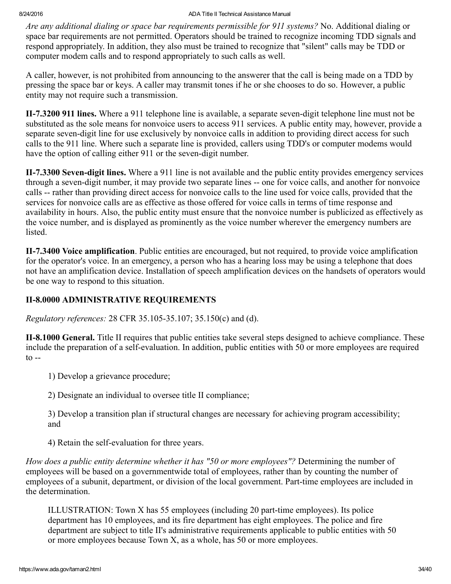Are any additional dialing or space bar requirements permissible for 911 systems? No. Additional dialing or space bar requirements are not permitted. Operators should be trained to recognize incoming TDD signals and respond appropriately. In addition, they also must be trained to recognize that "silent" calls may be TDD or computer modem calls and to respond appropriately to such calls as well.

A caller, however, is not prohibited from announcing to the answerer that the call is being made on a TDD by pressing the space bar or keys. A caller may transmit tones if he or she chooses to do so. However, a public entity may not require such a transmission.

<span id="page-33-0"></span>II-7.3200 911 lines. Where a 911 telephone line is available, a separate seven-digit telephone line must not be substituted as the sole means for nonvoice users to access 911 services. A public entity may, however, provide a separate seven-digit line for use exclusively by nonvoice calls in addition to providing direct access for such calls to the 911 line. Where such a separate line is provided, callers using TDD's or computer modems would have the option of calling either 911 or the seven-digit number.

<span id="page-33-1"></span>II-7.3300 Seven-digit lines. Where a 911 line is not available and the public entity provides emergency services through a seven-digit number, it may provide two separate lines -- one for voice calls, and another for nonvoice calls -- rather than providing direct access for nonvoice calls to the line used for voice calls, provided that the services for nonvoice calls are as effective as those offered for voice calls in terms of time response and availability in hours. Also, the public entity must ensure that the nonvoice number is publicized as effectively as the voice number, and is displayed as prominently as the voice number wherever the emergency numbers are listed.

<span id="page-33-2"></span>II-7.3400 Voice amplification. Public entities are encouraged, but not required, to provide voice amplification for the operator's voice. In an emergency, a person who has a hearing loss may be using a telephone that does not have an amplification device. Installation of speech amplification devices on the handsets of operators would be one way to respond to this situation.

# <span id="page-33-3"></span>**II-8.0000 ADMINISTRATIVE REQUIREMENTS**

Regulatory references: 28 CFR 35.10535.107; 35.150(c) and (d).

<span id="page-33-4"></span>II-8.1000 General. Title II requires that public entities take several steps designed to achieve compliance. These include the preparation of a self-evaluation. In addition, public entities with 50 or more employees are required  $\frac{1}{\sqrt{2}}$ 

1) Develop a grievance procedure;

2) Designate an individual to oversee title II compliance;

3) Develop a transition plan if structural changes are necessary for achieving program accessibility; and

4) Retain the self-evaluation for three years.

How does a public entity determine whether it has "50 or more employees"? Determining the number of employees will be based on a governmentwide total of employees, rather than by counting the number of employees of a subunit, department, or division of the local government. Part-time employees are included in the determination.

ILLUSTRATION: Town X has 55 employees (including 20 part-time employees). Its police department has 10 employees, and its fire department has eight employees. The police and fire department are subject to title II's administrative requirements applicable to public entities with 50 or more employees because Town X, as a whole, has 50 or more employees.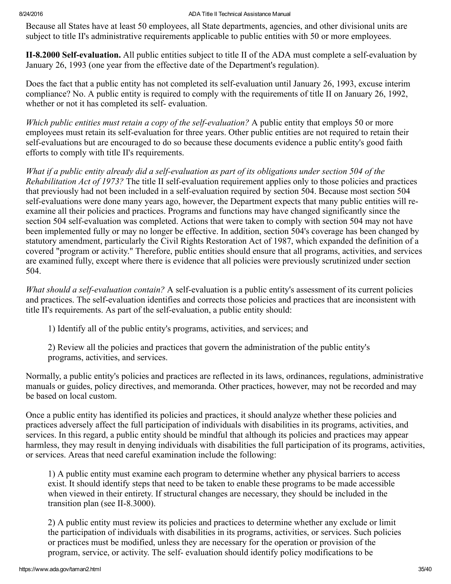Because all States have at least 50 employees, all State departments, agencies, and other divisional units are subject to title II's administrative requirements applicable to public entities with 50 or more employees.

<span id="page-34-0"></span>II-8.2000 Self-evaluation. All public entities subject to title II of the ADA must complete a self-evaluation by January 26, 1993 (one year from the effective date of the Department's regulation).

Does the fact that a public entity has not completed its self-evaluation until January 26, 1993, excuse interim compliance? No. A public entity is required to comply with the requirements of title II on January 26, 1992, whether or not it has completed its self-evaluation.

Which public entities must retain a copy of the self-evaluation? A public entity that employs 50 or more employees must retain its self-evaluation for three years. Other public entities are not required to retain their self-evaluations but are encouraged to do so because these documents evidence a public entity's good faith efforts to comply with title II's requirements.

What if a public entity already did a self-evaluation as part of its obligations under section 504 of the Rehabilitation Act of 1973? The title II self-evaluation requirement applies only to those policies and practices that previously had not been included in a selfevaluation required by section 504. Because most section 504 self-evaluations were done many years ago, however, the Department expects that many public entities will reexamine all their policies and practices. Programs and functions may have changed significantly since the section 504 self-evaluation was completed. Actions that were taken to comply with section 504 may not have been implemented fully or may no longer be effective. In addition, section 504's coverage has been changed by statutory amendment, particularly the Civil Rights Restoration Act of 1987, which expanded the definition of a covered "program or activity." Therefore, public entities should ensure that all programs, activities, and services are examined fully, except where there is evidence that all policies were previously scrutinized under section 504.

What should a self-evaluation contain? A self-evaluation is a public entity's assessment of its current policies and practices. The self-evaluation identifies and corrects those policies and practices that are inconsistent with title II's requirements. As part of the self-evaluation, a public entity should:

1) Identify all of the public entity's programs, activities, and services; and

2) Review all the policies and practices that govern the administration of the public entity's programs, activities, and services.

Normally, a public entity's policies and practices are reflected in its laws, ordinances, regulations, administrative manuals or guides, policy directives, and memoranda. Other practices, however, may not be recorded and may be based on local custom.

Once a public entity has identified its policies and practices, it should analyze whether these policies and practices adversely affect the full participation of individuals with disabilities in its programs, activities, and services. In this regard, a public entity should be mindful that although its policies and practices may appear harmless, they may result in denying individuals with disabilities the full participation of its programs, activities, or services. Areas that need careful examination include the following:

1) A public entity must examine each program to determine whether any physical barriers to access exist. It should identify steps that need to be taken to enable these programs to be made accessible when viewed in their entirety. If structural changes are necessary, they should be included in the transition plan (see  $II-8.3000$ ).

2) A public entity must review its policies and practices to determine whether any exclude or limit the participation of individuals with disabilities in its programs, activities, or services. Such policies or practices must be modified, unless they are necessary for the operation or provision of the program, service, or activity. The self-evaluation should identify policy modifications to be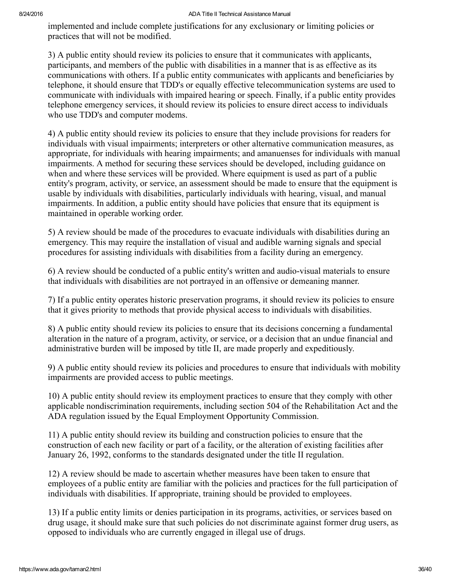implemented and include complete justifications for any exclusionary or limiting policies or practices that will not be modified.

3) A public entity should review its policies to ensure that it communicates with applicants, participants, and members of the public with disabilities in a manner that is as effective as its communications with others. If a public entity communicates with applicants and beneficiaries by telephone, it should ensure that TDD's or equally effective telecommunication systems are used to communicate with individuals with impaired hearing or speech. Finally, if a public entity provides telephone emergency services, it should review its policies to ensure direct access to individuals who use TDD's and computer modems.

4) A public entity should review its policies to ensure that they include provisions for readers for individuals with visual impairments; interpreters or other alternative communication measures, as appropriate, for individuals with hearing impairments; and amanuenses for individuals with manual impairments. A method for securing these services should be developed, including guidance on when and where these services will be provided. Where equipment is used as part of a public entity's program, activity, or service, an assessment should be made to ensure that the equipment is usable by individuals with disabilities, particularly individuals with hearing, visual, and manual impairments. In addition, a public entity should have policies that ensure that its equipment is maintained in operable working order.

5) A review should be made of the procedures to evacuate individuals with disabilities during an emergency. This may require the installation of visual and audible warning signals and special procedures for assisting individuals with disabilities from a facility during an emergency.

6) A review should be conducted of a public entity's written and audio-visual materials to ensure that individuals with disabilities are not portrayed in an offensive or demeaning manner.

7) If a public entity operates historic preservation programs, it should review its policies to ensure that it gives priority to methods that provide physical access to individuals with disabilities.

8) A public entity should review its policies to ensure that its decisions concerning a fundamental alteration in the nature of a program, activity, or service, or a decision that an undue financial and administrative burden will be imposed by title II, are made properly and expeditiously.

9) A public entity should review its policies and procedures to ensure that individuals with mobility impairments are provided access to public meetings.

10) A public entity should review its employment practices to ensure that they comply with other applicable nondiscrimination requirements, including section 504 of the Rehabilitation Act and the ADA regulation issued by the Equal Employment Opportunity Commission.

11) A public entity should review its building and construction policies to ensure that the construction of each new facility or part of a facility, or the alteration of existing facilities after January 26, 1992, conforms to the standards designated under the title II regulation.

12) A review should be made to ascertain whether measures have been taken to ensure that employees of a public entity are familiar with the policies and practices for the full participation of individuals with disabilities. If appropriate, training should be provided to employees.

13) If a public entity limits or denies participation in its programs, activities, or services based on drug usage, it should make sure that such policies do not discriminate against former drug users, as opposed to individuals who are currently engaged in illegal use of drugs.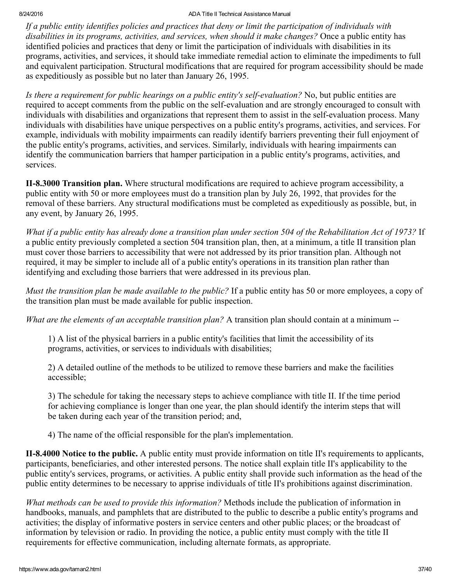If a public entity identifies policies and practices that deny or limit the participation of individuals with disabilities in its programs, activities, and services, when should it make changes? Once a public entity has identified policies and practices that deny or limit the participation of individuals with disabilities in its programs, activities, and services, it should take immediate remedial action to eliminate the impediments to full and equivalent participation. Structural modifications that are required for program accessibility should be made as expeditiously as possible but no later than January 26, 1995.

Is there a requirement for public hearings on a public entity's self-evaluation? No, but public entities are required to accept comments from the public on the selfevaluation and are strongly encouraged to consult with individuals with disabilities and organizations that represent them to assist in the self-evaluation process. Many individuals with disabilities have unique perspectives on a public entity's programs, activities, and services. For example, individuals with mobility impairments can readily identify barriers preventing their full enjoyment of the public entity's programs, activities, and services. Similarly, individuals with hearing impairments can identify the communication barriers that hamper participation in a public entity's programs, activities, and services.

<span id="page-36-0"></span>**II-8.3000 Transition plan.** Where structural modifications are required to achieve program accessibility, a public entity with 50 or more employees must do a transition plan by July 26, 1992, that provides for the removal of these barriers. Any structural modifications must be completed as expeditiously as possible, but, in any event, by January 26, 1995.

What if a public entity has already done a transition plan under section 504 of the Rehabilitation Act of 1973? If a public entity previously completed a section 504 transition plan, then, at a minimum, a title II transition plan must cover those barriers to accessibility that were not addressed by its prior transition plan. Although not required, it may be simpler to include all of a public entity's operations in its transition plan rather than identifying and excluding those barriers that were addressed in its previous plan.

Must the transition plan be made available to the public? If a public entity has 50 or more employees, a copy of the transition plan must be made available for public inspection.

What are the elements of an acceptable transition plan? A transition plan should contain at a minimum --

1) A list of the physical barriers in a public entity's facilities that limit the accessibility of its programs, activities, or services to individuals with disabilities;

2) A detailed outline of the methods to be utilized to remove these barriers and make the facilities accessible;

3) The schedule for taking the necessary steps to achieve compliance with title II. If the time period for achieving compliance is longer than one year, the plan should identify the interim steps that will be taken during each year of the transition period; and,

4) The name of the official responsible for the plan's implementation.

<span id="page-36-1"></span>II-8.4000 Notice to the public. A public entity must provide information on title II's requirements to applicants, participants, beneficiaries, and other interested persons. The notice shall explain title II's applicability to the public entity's services, programs, or activities. A public entity shall provide such information as the head of the public entity determines to be necessary to apprise individuals of title II's prohibitions against discrimination.

What methods can be used to provide this information? Methods include the publication of information in handbooks, manuals, and pamphlets that are distributed to the public to describe a public entity's programs and activities; the display of informative posters in service centers and other public places; or the broadcast of information by television or radio. In providing the notice, a public entity must comply with the title II requirements for effective communication, including alternate formats, as appropriate.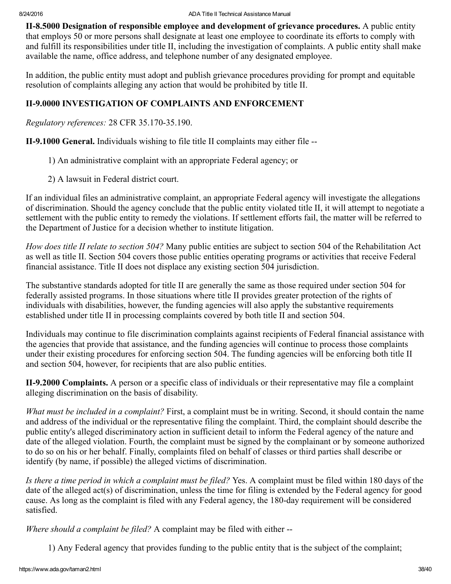<span id="page-37-0"></span>II-8.5000 Designation of responsible employee and development of grievance procedures. A public entity that employs 50 or more persons shall designate at least one employee to coordinate its efforts to comply with and fulfill its responsibilities under title II, including the investigation of complaints. A public entity shall make available the name, office address, and telephone number of any designated employee.

In addition, the public entity must adopt and publish grievance procedures providing for prompt and equitable resolution of complaints alleging any action that would be prohibited by title II.

# <span id="page-37-1"></span>II9.0000 INVESTIGATION OF COMPLAINTS AND ENFORCEMENT

Regulatory references: 28 CFR 35.170-35.190.

<span id="page-37-2"></span>II-9.1000 General. Individuals wishing to file title II complaints may either file --

- 1) An administrative complaint with an appropriate Federal agency; or
- 2) A lawsuit in Federal district court.

If an individual files an administrative complaint, an appropriate Federal agency will investigate the allegations of discrimination. Should the agency conclude that the public entity violated title II, it will attempt to negotiate a settlement with the public entity to remedy the violations. If settlement efforts fail, the matter will be referred to the Department of Justice for a decision whether to institute litigation.

How does title II relate to section 504? Many public entities are subject to section 504 of the Rehabilitation Act as well as title II. Section 504 covers those public entities operating programs or activities that receive Federal financial assistance. Title II does not displace any existing section 504 jurisdiction.

The substantive standards adopted for title II are generally the same as those required under section 504 for federally assisted programs. In those situations where title II provides greater protection of the rights of individuals with disabilities, however, the funding agencies will also apply the substantive requirements established under title II in processing complaints covered by both title II and section 504.

Individuals may continue to file discrimination complaints against recipients of Federal financial assistance with the agencies that provide that assistance, and the funding agencies will continue to process those complaints under their existing procedures for enforcing section 504. The funding agencies will be enforcing both title II and section 504, however, for recipients that are also public entities.

<span id="page-37-3"></span>II9.2000 Complaints. A person or a specific class of individuals or their representative may file a complaint alleging discrimination on the basis of disability.

What must be included in a complaint? First, a complaint must be in writing. Second, it should contain the name and address of the individual or the representative filing the complaint. Third, the complaint should describe the public entity's alleged discriminatory action in sufficient detail to inform the Federal agency of the nature and date of the alleged violation. Fourth, the complaint must be signed by the complainant or by someone authorized to do so on his or her behalf. Finally, complaints filed on behalf of classes or third parties shall describe or identify (by name, if possible) the alleged victims of discrimination.

Is there a time period in which a complaint must be filed? Yes. A complaint must be filed within 180 days of the date of the alleged act(s) of discrimination, unless the time for filing is extended by the Federal agency for good cause. As long as the complaint is filed with any Federal agency, the 180-day requirement will be considered satisfied.

Where should a complaint be filed? A complaint may be filed with either --

1) Any Federal agency that provides funding to the public entity that is the subject of the complaint;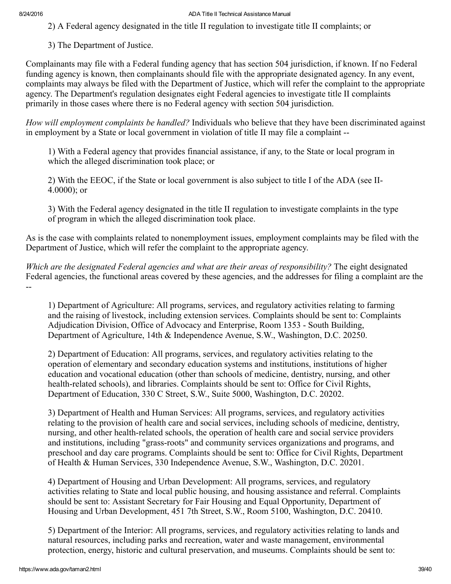2) A Federal agency designated in the title II regulation to investigate title II complaints; or

3) The Department of Justice.

Complainants may file with a Federal funding agency that has section 504 jurisdiction, if known. If no Federal funding agency is known, then complainants should file with the appropriate designated agency. In any event, complaints may always be filed with the Department of Justice, which will refer the complaint to the appropriate agency. The Department's regulation designates eight Federal agencies to investigate title II complaints primarily in those cases where there is no Federal agency with section 504 jurisdiction.

How will employment complaints be handled? Individuals who believe that they have been discriminated against in employment by a State or local government in violation of title II may file a complaint

1) With a Federal agency that provides financial assistance, if any, to the State or local program in which the alleged discrimination took place; or

2) With the EEOC, if the State or local government is also subject to title I of the ADA (see II-4.0000); or

3) With the Federal agency designated in the title II regulation to investigate complaints in the type of program in which the alleged discrimination took place.

As is the case with complaints related to nonemployment issues, employment complaints may be filed with the Department of Justice, which will refer the complaint to the appropriate agency.

Which are the designated Federal agencies and what are their areas of responsibility? The eight designated Federal agencies, the functional areas covered by these agencies, and the addresses for filing a complaint are the --

1) Department of Agriculture: All programs, services, and regulatory activities relating to farming and the raising of livestock, including extension services. Complaints should be sent to: Complaints Adjudication Division, Office of Advocacy and Enterprise, Room 1353 - South Building, Department of Agriculture, 14th & Independence Avenue, S.W., Washington, D.C. 20250.

2) Department of Education: All programs, services, and regulatory activities relating to the operation of elementary and secondary education systems and institutions, institutions of higher education and vocational education (other than schools of medicine, dentistry, nursing, and other health-related schools), and libraries. Complaints should be sent to: Office for Civil Rights, Department of Education, 330 C Street, S.W., Suite 5000, Washington, D.C. 20202.

3) Department of Health and Human Services: All programs, services, and regulatory activities relating to the provision of health care and social services, including schools of medicine, dentistry, nursing, and other health-related schools, the operation of health care and social service providers and institutions, including "grass-roots" and community services organizations and programs, and preschool and day care programs. Complaints should be sent to: Office for Civil Rights, Department of Health & Human Services, 330 Independence Avenue, S.W., Washington, D.C. 20201.

4) Department of Housing and Urban Development: All programs, services, and regulatory activities relating to State and local public housing, and housing assistance and referral. Complaints should be sent to: Assistant Secretary for Fair Housing and Equal Opportunity, Department of Housing and Urban Development, 451 7th Street, S.W., Room 5100, Washington, D.C. 20410.

5) Department of the Interior: All programs, services, and regulatory activities relating to lands and natural resources, including parks and recreation, water and waste management, environmental protection, energy, historic and cultural preservation, and museums. Complaints should be sent to: